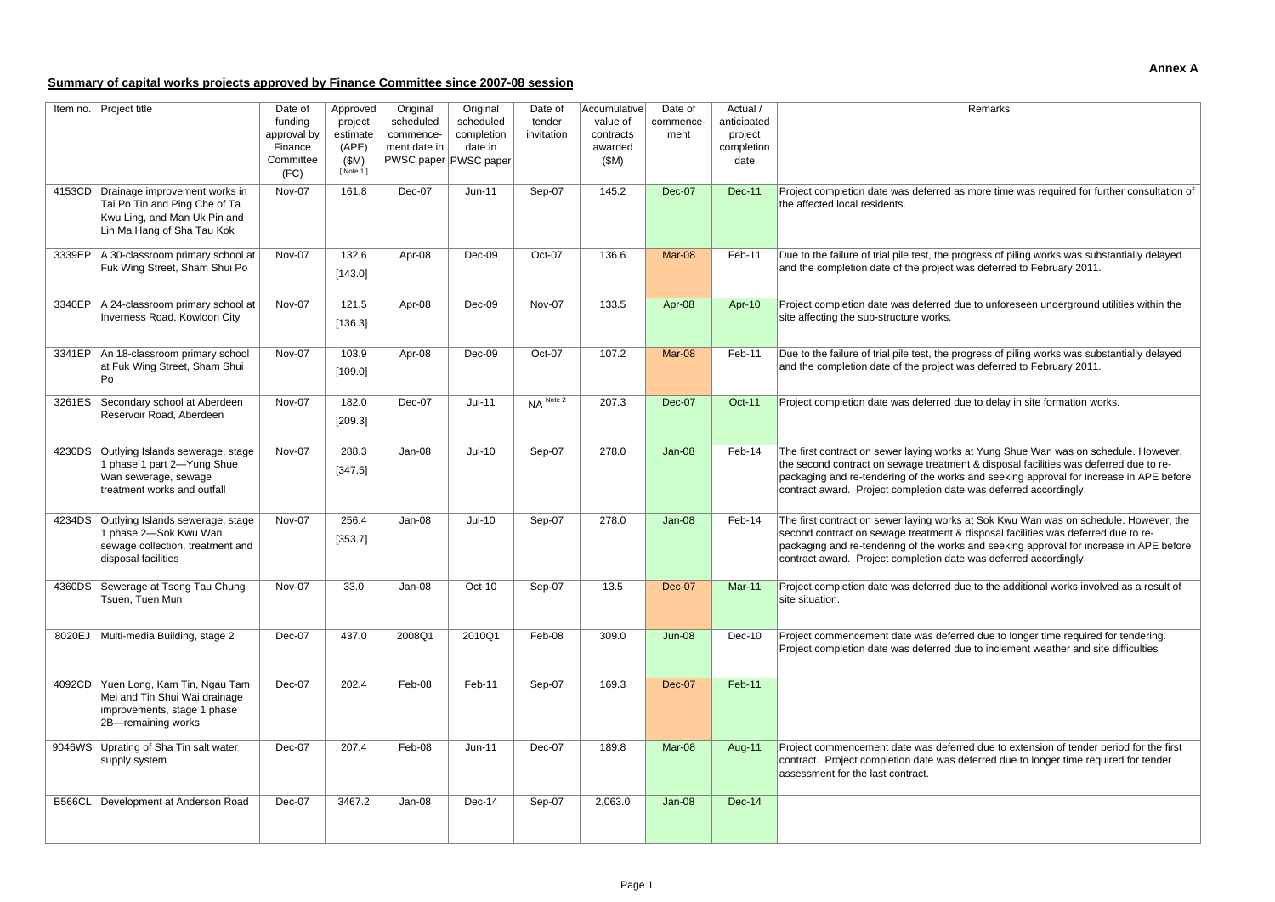## **Annex A**

# **Summary of capital works projects approved by Finance Committee since 2007-08 session**

| Item no. | Project title                                                                                                                       | Date of<br>funding                          | Approved<br>project                     | Original<br>scheduled     | Original<br>scheduled                             | Date of<br>tender      | Accumulative<br>value of     | Date of<br>commence- | Actual /<br>anticipated       | Remarks                                                                                                                                                                                                                                                                                                                                      |
|----------|-------------------------------------------------------------------------------------------------------------------------------------|---------------------------------------------|-----------------------------------------|---------------------------|---------------------------------------------------|------------------------|------------------------------|----------------------|-------------------------------|----------------------------------------------------------------------------------------------------------------------------------------------------------------------------------------------------------------------------------------------------------------------------------------------------------------------------------------------|
|          |                                                                                                                                     | approval by<br>Finance<br>Committee<br>(FC) | estimate<br>(APE)<br>(SM)<br>[ Note 1 ] | commence-<br>ment date in | completion<br>date in<br> PWSC paper   PWSC paper | invitation             | contracts<br>awarded<br>(SM) | ment                 | project<br>completion<br>date |                                                                                                                                                                                                                                                                                                                                              |
|          | 4153CD Drainage improvement works in<br>Tai Po Tin and Ping Che of Ta<br>Kwu Ling, and Man Uk Pin and<br>Lin Ma Hang of Sha Tau Kok | Nov-07                                      | 161.8                                   | Dec-07                    | $Jun-11$                                          | Sep-07                 | 145.2                        | Dec-07               | <b>Dec-11</b>                 | Project completion date was deferred as more time was required for further consultation of<br>the affected local residents.                                                                                                                                                                                                                  |
|          | 3339EP   A 30-classroom primary school at<br>Fuk Wing Street, Sham Shui Po                                                          | Nov-07                                      | 132.6<br>[143.0]                        | Apr-08                    | Dec-09                                            | Oct-07                 | 136.6                        | Mar-08               | Feb-11                        | Due to the failure of trial pile test, the progress of piling works was substantially delayed<br>and the completion date of the project was deferred to February 2011.                                                                                                                                                                       |
|          | 3340EP   A 24-classroom primary school at<br>Inverness Road, Kowloon City                                                           | Nov-07                                      | 121.5<br>[136.3]                        | Apr-08                    | Dec-09                                            | Nov-07                 | 133.5                        | Apr-08               | Apr-10                        | Project completion date was deferred due to unforeseen underground utilities within the<br>site affecting the sub-structure works.                                                                                                                                                                                                           |
| 3341EP   | An 18-classroom primary school<br>at Fuk Wing Street, Sham Shui<br>Po                                                               | Nov-07                                      | 103.9<br>[109.0]                        | Apr-08                    | Dec-09                                            | Oct-07                 | 107.2                        | Mar-08               | Feb-11                        | Due to the failure of trial pile test, the progress of piling works was substantially delayed<br>and the completion date of the project was deferred to February 2011.                                                                                                                                                                       |
|          | 3261ES Secondary school at Aberdeen<br>Reservoir Road, Aberdeen                                                                     | Nov-07                                      | 182.0<br>[209.3]                        | Dec-07                    | $Jul-11$                                          | $NA$ <sup>Note 2</sup> | 207.3                        | <b>Dec-07</b>        | <b>Oct-11</b>                 | Project completion date was deferred due to delay in site formation works.                                                                                                                                                                                                                                                                   |
| 4230DS   | Outlying Islands sewerage, stage<br>1 phase 1 part 2-Yung Shue<br>Wan sewerage, sewage<br>treatment works and outfall               | Nov-07                                      | 288.3<br>[347.5]                        | Jan-08                    | $Jul-10$                                          | Sep-07                 | 278.0                        | $Jan-08$             | Feb-14                        | The first contract on sewer laying works at Yung Shue Wan was on schedule. However,<br>the second contract on sewage treatment & disposal facilities was deferred due to re-<br>packaging and re-tendering of the works and seeking approval for increase in APE before<br>contract award. Project completion date was deferred accordingly. |
|          | 4234DS Outlying Islands sewerage, stage<br>1 phase 2-Sok Kwu Wan<br>sewage collection, treatment and<br>disposal facilities         | Nov-07                                      | 256.4<br>[353.7]                        | Jan-08                    | $Jul-10$                                          | Sep-07                 | 278.0                        | Jan-08               | Feb-14                        | The first contract on sewer laying works at Sok Kwu Wan was on schedule. However, the<br>second contract on sewage treatment & disposal facilities was deferred due to re-<br>packaging and re-tendering of the works and seeking approval for increase in APE before<br>contract award. Project completion date was deferred accordingly.   |
|          | 4360DS Sewerage at Tseng Tau Chung<br>Tsuen, Tuen Mun                                                                               | Nov-07                                      | 33.0                                    | Jan-08                    | Oct-10                                            | Sep-07                 | 13.5                         | Dec-07               | Mar-11                        | Project completion date was deferred due to the additional works involved as a result of<br>site situation.                                                                                                                                                                                                                                  |
| 8020EJ   | Multi-media Building, stage 2                                                                                                       | Dec-07                                      | 437.0                                   | 2008Q1                    | 2010Q1                                            | Feb-08                 | 309.0                        | <b>Jun-08</b>        | Dec-10                        | Project commencement date was deferred due to longer time required for tendering.<br>Project completion date was deferred due to inclement weather and site difficulties                                                                                                                                                                     |
|          | 4092CD Yuen Long, Kam Tin, Ngau Tam<br>Mei and Tin Shui Wai drainage<br>improvements, stage 1 phase<br>2B-remaining works           | Dec-07                                      | 202.4                                   | Feb-08                    | Feb-11                                            | Sep-07                 | 169.3                        | Dec-07               | Feb-11                        |                                                                                                                                                                                                                                                                                                                                              |
|          | 9046WS Uprating of Sha Tin salt water<br>supply system                                                                              | Dec-07                                      | 207.4                                   | Feb-08                    | $Jun-11$                                          | Dec-07                 | 189.8                        | Mar-08               | Aug-11                        | Project commencement date was deferred due to extension of tender period for the first<br>contract. Project completion date was deferred due to longer time required for tender<br>assessment for the last contract.                                                                                                                         |
|          | B566CL   Development at Anderson Road                                                                                               | Dec-07                                      | 3467.2                                  | Jan-08                    | Dec-14                                            | Sep-07                 | 2,063.0                      | <b>Jan-08</b>        | $Dec-14$                      |                                                                                                                                                                                                                                                                                                                                              |

| Remarks                                                                                                                                                                                                                                                                                                                                      |
|----------------------------------------------------------------------------------------------------------------------------------------------------------------------------------------------------------------------------------------------------------------------------------------------------------------------------------------------|
|                                                                                                                                                                                                                                                                                                                                              |
| Project completion date was deferred as more time was required for further consultation of<br>the affected local residents.                                                                                                                                                                                                                  |
| Due to the failure of trial pile test, the progress of piling works was substantially delayed<br>and the completion date of the project was deferred to February 2011.                                                                                                                                                                       |
| Project completion date was deferred due to unforeseen underground utilities within the<br>site affecting the sub-structure works.                                                                                                                                                                                                           |
| Due to the failure of trial pile test, the progress of piling works was substantially delayed<br>and the completion date of the project was deferred to February 2011.                                                                                                                                                                       |
| Project completion date was deferred due to delay in site formation works.                                                                                                                                                                                                                                                                   |
| The first contract on sewer laying works at Yung Shue Wan was on schedule. However,<br>the second contract on sewage treatment & disposal facilities was deferred due to re-<br>packaging and re-tendering of the works and seeking approval for increase in APE before<br>contract award. Project completion date was deferred accordingly. |
| The first contract on sewer laying works at Sok Kwu Wan was on schedule. However, the<br>second contract on sewage treatment & disposal facilities was deferred due to re-<br>packaging and re-tendering of the works and seeking approval for increase in APE before<br>contract award. Project completion date was deferred accordingly.   |
| Project completion date was deferred due to the additional works involved as a result of<br>site situation.                                                                                                                                                                                                                                  |
| Project commencement date was deferred due to longer time required for tendering.<br>Project completion date was deferred due to inclement weather and site difficulties                                                                                                                                                                     |
|                                                                                                                                                                                                                                                                                                                                              |
| Project commencement date was deferred due to extension of tender period for the first<br>contract. Project completion date was deferred due to longer time required for tender<br>assessment for the last contract.                                                                                                                         |
|                                                                                                                                                                                                                                                                                                                                              |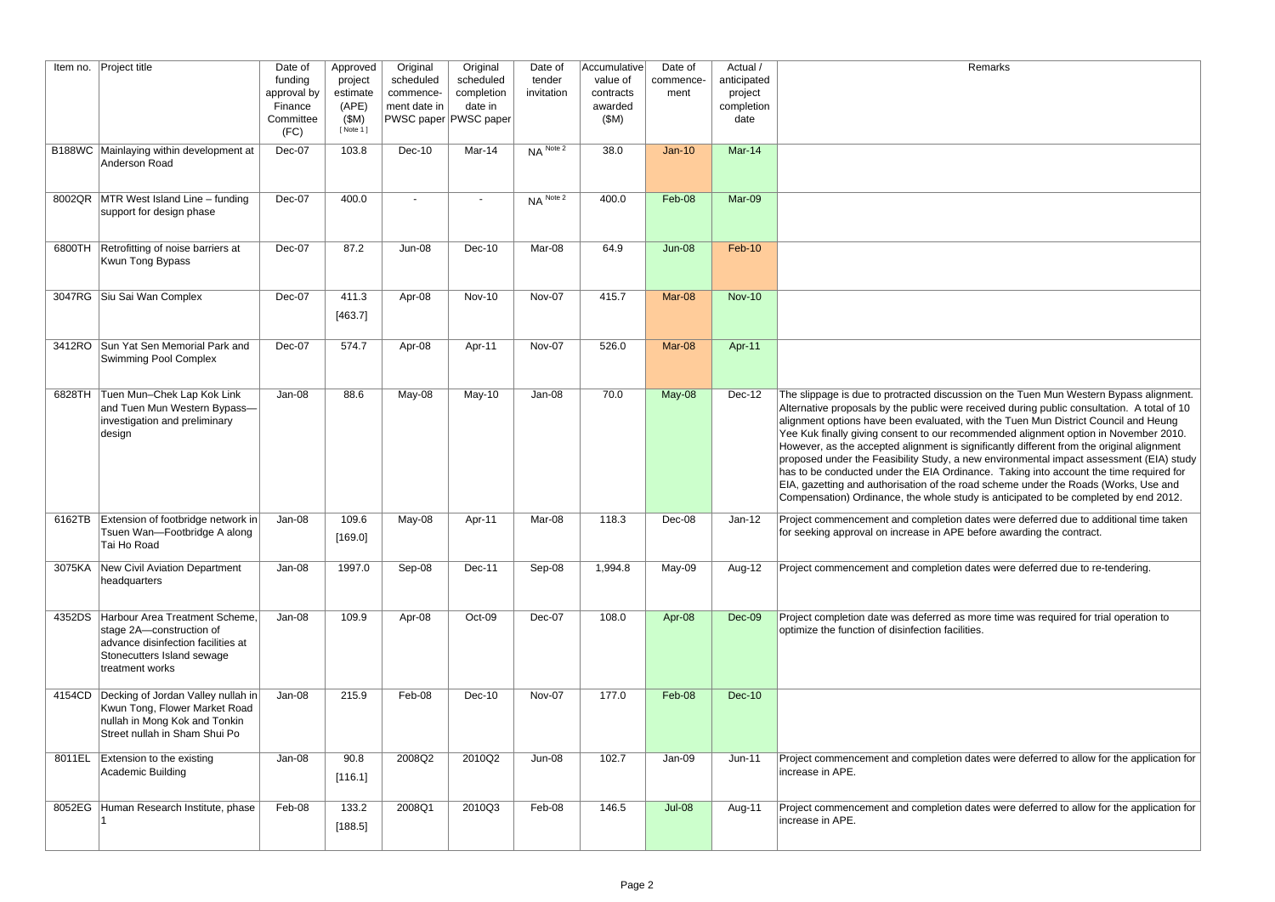| Remarks |  |
|---------|--|
|---------|--|

| The slippage is due to protracted discussion on the Tuen Mun Western Bypass alignment.<br>Alternative proposals by the public were received during public consultation. A total of 10<br>alignment options have been evaluated, with the Tuen Mun District Council and Heung<br>Yee Kuk finally giving consent to our recommended alignment option in November 2010.<br>However, as the accepted alignment is significantly different from the original alignment<br>proposed under the Feasibility Study, a new environmental impact assessment (EIA) study<br>has to be conducted under the EIA Ordinance. Taking into account the time required for<br>EIA, gazetting and authorisation of the road scheme under the Roads (Works, Use and<br>Compensation) Ordinance, the whole study is anticipated to be completed by end 2012. |
|---------------------------------------------------------------------------------------------------------------------------------------------------------------------------------------------------------------------------------------------------------------------------------------------------------------------------------------------------------------------------------------------------------------------------------------------------------------------------------------------------------------------------------------------------------------------------------------------------------------------------------------------------------------------------------------------------------------------------------------------------------------------------------------------------------------------------------------|
| Project commencement and completion dates were deferred due to additional time taken<br>for seeking approval on increase in APE before awarding the contract.                                                                                                                                                                                                                                                                                                                                                                                                                                                                                                                                                                                                                                                                         |
| Project commencement and completion dates were deferred due to re-tendering.                                                                                                                                                                                                                                                                                                                                                                                                                                                                                                                                                                                                                                                                                                                                                          |
| Project completion date was deferred as more time was required for trial operation to<br>optimize the function of disinfection facilities.                                                                                                                                                                                                                                                                                                                                                                                                                                                                                                                                                                                                                                                                                            |
|                                                                                                                                                                                                                                                                                                                                                                                                                                                                                                                                                                                                                                                                                                                                                                                                                                       |
| Project commencement and completion dates were deferred to allow for the application for<br>increase in APE.                                                                                                                                                                                                                                                                                                                                                                                                                                                                                                                                                                                                                                                                                                                          |
| Project commencement and completion dates were deferred to allow for the application for<br>increase in APE.                                                                                                                                                                                                                                                                                                                                                                                                                                                                                                                                                                                                                                                                                                                          |

|        | Item no. Project title                                                                                                                                   | Date of<br>funding<br>approval by<br>Finance<br>Committee<br>(FC) | Approved<br>project<br>estimate<br>(APE)<br>(\$M)<br>[ Note 1 ] | Original<br>scheduled<br>commence-<br>ment date in | Original<br>scheduled<br>completion<br>date in<br>PWSC paper PWSC paper | Date of<br>tender<br>invitation | Accumulative<br>value of<br>contracts<br>awarded<br>(SM) | Date of<br>commence-<br>ment | Actual /<br>anticipated<br>project<br>completion<br>date | Remarks                                                                                                                                                                                                                                                                                                                                                                                                                                                                                                                                                                                                                                                                                                                                                                                                                               |
|--------|----------------------------------------------------------------------------------------------------------------------------------------------------------|-------------------------------------------------------------------|-----------------------------------------------------------------|----------------------------------------------------|-------------------------------------------------------------------------|---------------------------------|----------------------------------------------------------|------------------------------|----------------------------------------------------------|---------------------------------------------------------------------------------------------------------------------------------------------------------------------------------------------------------------------------------------------------------------------------------------------------------------------------------------------------------------------------------------------------------------------------------------------------------------------------------------------------------------------------------------------------------------------------------------------------------------------------------------------------------------------------------------------------------------------------------------------------------------------------------------------------------------------------------------|
|        | B188WC Mainlaying within development at<br>Anderson Road                                                                                                 | Dec-07                                                            | 103.8                                                           | $Dec-10$                                           | Mar-14                                                                  | $NA$ Note 2                     | 38.0                                                     | $Jan-10$                     | Mar-14                                                   |                                                                                                                                                                                                                                                                                                                                                                                                                                                                                                                                                                                                                                                                                                                                                                                                                                       |
|        | 8002QR MTR West Island Line – funding<br>support for design phase                                                                                        | Dec-07                                                            | 400.0                                                           |                                                    | $\blacksquare$                                                          | $NA$ <sup>Note 2</sup>          | 400.0                                                    | Feb-08                       | Mar-09                                                   |                                                                                                                                                                                                                                                                                                                                                                                                                                                                                                                                                                                                                                                                                                                                                                                                                                       |
|        | 6800TH Retrofitting of noise barriers at<br>Kwun Tong Bypass                                                                                             | Dec-07                                                            | 87.2                                                            | <b>Jun-08</b>                                      | Dec-10                                                                  | Mar-08                          | 64.9                                                     | $Jun-08$                     | Feb-10                                                   |                                                                                                                                                                                                                                                                                                                                                                                                                                                                                                                                                                                                                                                                                                                                                                                                                                       |
|        | 3047RG Siu Sai Wan Complex                                                                                                                               | Dec-07                                                            | 411.3<br>[463.7]                                                | Apr-08                                             | <b>Nov-10</b>                                                           | Nov-07                          | 415.7                                                    | Mar-08                       | <b>Nov-10</b>                                            |                                                                                                                                                                                                                                                                                                                                                                                                                                                                                                                                                                                                                                                                                                                                                                                                                                       |
|        | 3412RO Sun Yat Sen Memorial Park and<br>Swimming Pool Complex                                                                                            | Dec-07                                                            | 574.7                                                           | Apr-08                                             | Apr-11                                                                  | Nov-07                          | 526.0                                                    | Mar-08                       | Apr-11                                                   |                                                                                                                                                                                                                                                                                                                                                                                                                                                                                                                                                                                                                                                                                                                                                                                                                                       |
| 6828TH | Tuen Mun-Chek Lap Kok Link<br>and Tuen Mun Western Bypass-<br>investigation and preliminary<br>design                                                    | Jan-08                                                            | 88.6                                                            | May-08                                             | May-10                                                                  | Jan-08                          | 70.0                                                     | May-08                       | Dec-12                                                   | The slippage is due to protracted discussion on the Tuen Mun Western Bypass alignment.<br>Alternative proposals by the public were received during public consultation. A total of 10<br>alignment options have been evaluated, with the Tuen Mun District Council and Heung<br>Yee Kuk finally giving consent to our recommended alignment option in November 2010.<br>However, as the accepted alignment is significantly different from the original alignment<br>proposed under the Feasibility Study, a new environmental impact assessment (EIA) study<br>has to be conducted under the EIA Ordinance. Taking into account the time required for<br>EIA, gazetting and authorisation of the road scheme under the Roads (Works, Use and<br>Compensation) Ordinance, the whole study is anticipated to be completed by end 2012. |
|        | 6162TB Extension of footbridge network in<br>Tsuen Wan-Footbridge A along<br>Tai Ho Road                                                                 | Jan-08                                                            | 109.6<br>[169.0]                                                | May-08                                             | Apr-11                                                                  | Mar-08                          | 118.3                                                    | Dec-08                       | $Jan-12$                                                 | Project commencement and completion dates were deferred due to additional time taken<br>for seeking approval on increase in APE before awarding the contract.                                                                                                                                                                                                                                                                                                                                                                                                                                                                                                                                                                                                                                                                         |
| 3075KA | New Civil Aviation Department<br>headquarters                                                                                                            | Jan-08                                                            | 1997.0                                                          | Sep-08                                             | Dec-11                                                                  | Sep-08                          | 1,994.8                                                  | May-09                       | Aug-12                                                   | Project commencement and completion dates were deferred due to re-tendering.                                                                                                                                                                                                                                                                                                                                                                                                                                                                                                                                                                                                                                                                                                                                                          |
|        | 4352DS Harbour Area Treatment Scheme,<br>stage 2A-construction of<br>advance disinfection facilities at<br>Stonecutters Island sewage<br>treatment works | Jan-08                                                            | 109.9                                                           | Apr-08                                             | Oct-09                                                                  | Dec-07                          | 108.0                                                    | Apr-08                       | Dec-09                                                   | Project completion date was deferred as more time was required for trial operation to<br>optimize the function of disinfection facilities.                                                                                                                                                                                                                                                                                                                                                                                                                                                                                                                                                                                                                                                                                            |
|        | 4154CD Decking of Jordan Valley nullah in<br>Kwun Tong, Flower Market Road<br>nullah in Mong Kok and Tonkin<br>Street nullah in Sham Shui Po             | Jan-08                                                            | 215.9                                                           | Feb-08                                             | Dec-10                                                                  | Nov-07                          | 177.0                                                    | Feb-08                       | <b>Dec-10</b>                                            |                                                                                                                                                                                                                                                                                                                                                                                                                                                                                                                                                                                                                                                                                                                                                                                                                                       |
|        | 8011EL Extension to the existing<br>Academic Building                                                                                                    | Jan-08                                                            | 90.8<br>[116.1]                                                 | 2008Q2                                             | 2010Q2                                                                  | Jun-08                          | 102.7                                                    | Jan-09                       | $Jun-11$                                                 | Project commencement and completion dates were deferred to allow for the application for<br>increase in APE.                                                                                                                                                                                                                                                                                                                                                                                                                                                                                                                                                                                                                                                                                                                          |
|        | 8052EG   Human Research Institute, phase                                                                                                                 | Feb-08                                                            | 133.2<br>[188.5]                                                | 2008Q1                                             | 2010Q3                                                                  | Feb-08                          | 146.5                                                    | <b>Jul-08</b>                | Aug-11                                                   | Project commencement and completion dates were deferred to allow for the application for<br>increase in APE.                                                                                                                                                                                                                                                                                                                                                                                                                                                                                                                                                                                                                                                                                                                          |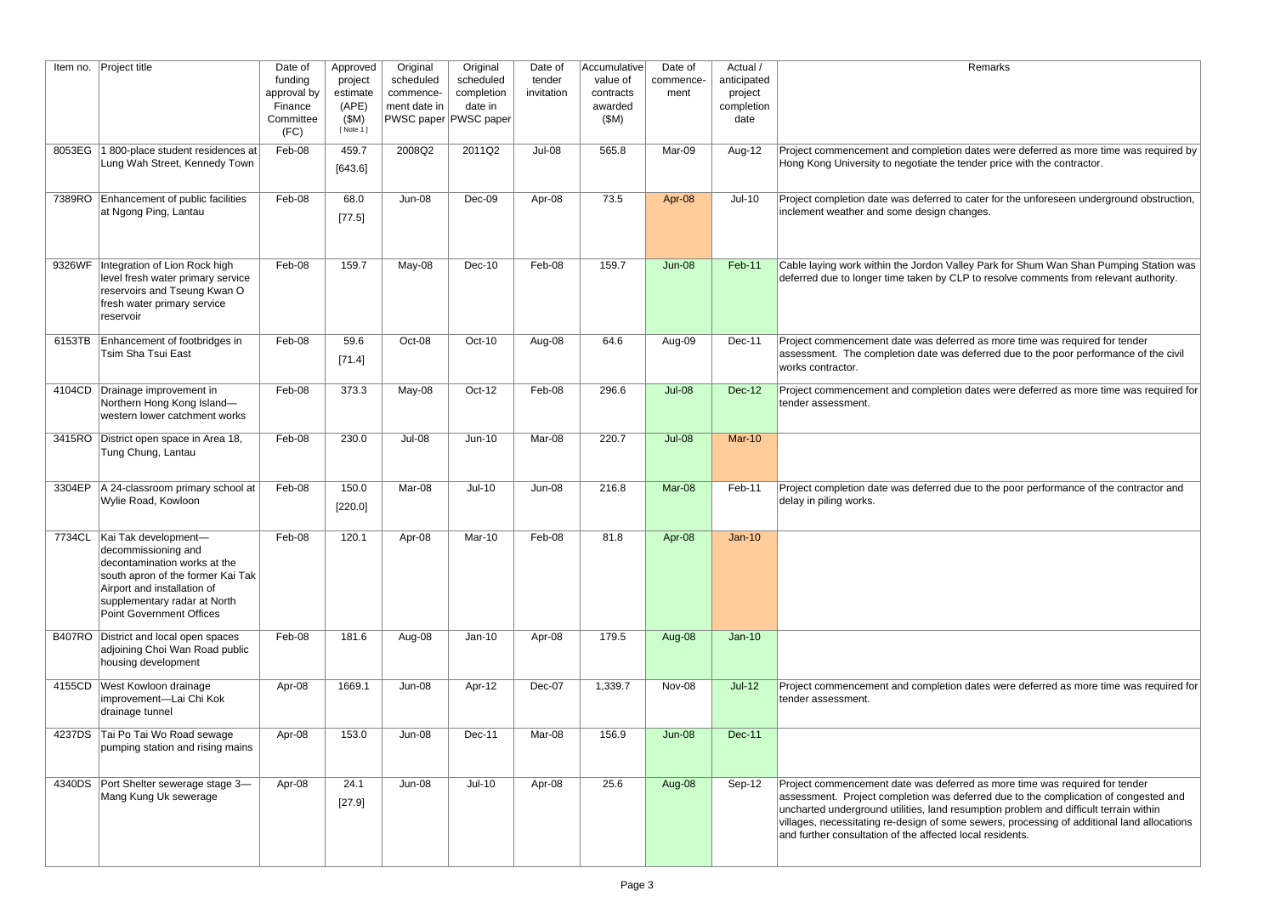#### Remarks

of dates were deferred as more time was required by tender price with the contractor.

 $\overline{p}$  cater for the unforeseen underground obstruction, ianges.

**Iley Park for Shum Wan Shan Pumping Station was** LP to resolve comments from relevant authority.

rred as more time was required for tender deferred due to the poor performance of the civil

n dates were deferred as more time was required for

lue to the poor performance of the contractor and

1 dates were deferred as more time was required for

rred as more time was required for tender leferred due to the complication of congested and sumption problem and difficult terrain within ie sewers, processing of additional land allocations

| Item no. | Project title                                                                                                                                                                                                               | Date of<br>funding<br>approval by<br>Finance<br>Committee<br>(FC) | Approved<br>project<br>estimate<br>(APE)<br>(SM)<br>[ Note 1 ] | Original<br>scheduled<br>commence-<br>ment date in | Original<br>scheduled<br>completion<br>date in<br>PWSC paper PWSC paper | Date of<br>tender<br>invitation | Accumulative<br>value of<br>contracts<br>awarded<br>(SM) | Date of<br>commence-<br>ment | Actual /<br>anticipated<br>project<br>completion<br>date | Remarks                                                                                                                                                                                                                                                                                   |
|----------|-----------------------------------------------------------------------------------------------------------------------------------------------------------------------------------------------------------------------------|-------------------------------------------------------------------|----------------------------------------------------------------|----------------------------------------------------|-------------------------------------------------------------------------|---------------------------------|----------------------------------------------------------|------------------------------|----------------------------------------------------------|-------------------------------------------------------------------------------------------------------------------------------------------------------------------------------------------------------------------------------------------------------------------------------------------|
| 8053EG   | 1 800-place student residences at<br>Lung Wah Street, Kennedy Town                                                                                                                                                          | Feb-08                                                            | 459.7<br>[643.6]                                               | 2008Q2                                             | 2011Q2                                                                  | Jul-08                          | 565.8                                                    | Mar-09                       | Aug-12                                                   | Project commencement and completion dates were de<br>Hong Kong University to negotiate the tender price wit                                                                                                                                                                               |
| 7389RO   | Enhancement of public facilities<br>at Ngong Ping, Lantau                                                                                                                                                                   | Feb-08                                                            | 68.0<br>[77.5]                                                 | Jun-08                                             | Dec-09                                                                  | Apr-08                          | 73.5                                                     | Apr-08                       | $Jul-10$                                                 | Project completion date was deferred to cater for the u<br>inclement weather and some design changes.                                                                                                                                                                                     |
| 9326WF   | Integration of Lion Rock high<br>level fresh water primary service<br>reservoirs and Tseung Kwan O<br>fresh water primary service<br>reservoir                                                                              | Feb-08                                                            | 159.7                                                          | May-08                                             | Dec-10                                                                  | Feb-08                          | 159.7                                                    | <b>Jun-08</b>                | Feb-11                                                   | Cable laying work within the Jordon Valley Park for Sh<br>deferred due to longer time taken by CLP to resolve co                                                                                                                                                                          |
| 6153TB   | Enhancement of footbridges in<br><b>Tsim Sha Tsui East</b>                                                                                                                                                                  | Feb-08                                                            | 59.6<br>[71.4]                                                 | Oct-08                                             | Oct-10                                                                  | Aug-08                          | 64.6                                                     | Aug-09                       | Dec-11                                                   | Project commencement date was deferred as more tin<br>assessment. The completion date was deferred due t<br>works contractor.                                                                                                                                                             |
| 4104CD   | Drainage improvement in<br>Northern Hong Kong Island-<br>western lower catchment works                                                                                                                                      | Feb-08                                                            | 373.3                                                          | May-08                                             | Oct-12                                                                  | Feb-08                          | 296.6                                                    | <b>Jul-08</b>                | <b>Dec-12</b>                                            | Project commencement and completion dates were de<br>tender assessment.                                                                                                                                                                                                                   |
| 3415RO   | District open space in Area 18,<br>Tung Chung, Lantau                                                                                                                                                                       | Feb-08                                                            | 230.0                                                          | Jul-08                                             | $Jun-10$                                                                | Mar-08                          | 220.7                                                    | <b>Jul-08</b>                | <b>Mar-10</b>                                            |                                                                                                                                                                                                                                                                                           |
| 3304EP   | A 24-classroom primary school at<br>Wylie Road, Kowloon                                                                                                                                                                     | Feb-08                                                            | 150.0<br>[220.0]                                               | Mar-08                                             | $Jul-10$                                                                | Jun-08                          | 216.8                                                    | Mar-08                       | Feb-11                                                   | Project completion date was deferred due to the poor<br>delay in piling works.                                                                                                                                                                                                            |
|          | 7734CL   Kai Tak development-<br>decommissioning and<br>decontamination works at the<br>south apron of the former Kai Tak<br>Airport and installation of<br>supplementary radar at North<br><b>Point Government Offices</b> | Feb-08                                                            | 120.1                                                          | Apr-08                                             | Mar-10                                                                  | Feb-08                          | 81.8                                                     | Apr-08                       | $Jan-10$                                                 |                                                                                                                                                                                                                                                                                           |
| B407RO   | District and local open spaces<br>adjoining Choi Wan Road public<br>housing development                                                                                                                                     | Feb-08                                                            | 181.6                                                          | Aug-08                                             | $Jan-10$                                                                | Apr-08                          | 179.5                                                    | Aug-08                       | $Jan-10$                                                 |                                                                                                                                                                                                                                                                                           |
| 4155CD   | West Kowloon drainage<br>improvement-Lai Chi Kok<br>drainage tunnel                                                                                                                                                         | Apr-08                                                            | 1669.1                                                         | $Jun-08$                                           | Apr-12                                                                  | Dec-07                          | 1,339.7                                                  | Nov-08                       | $Jul-12$                                                 | Project commencement and completion dates were de<br>tender assessment.                                                                                                                                                                                                                   |
| 4237DS   | Tai Po Tai Wo Road sewage<br>pumping station and rising mains                                                                                                                                                               | Apr-08                                                            | 153.0                                                          | $Jun-08$                                           | Dec-11                                                                  | Mar-08                          | 156.9                                                    | $Jun-08$                     | <b>Dec-11</b>                                            |                                                                                                                                                                                                                                                                                           |
| 4340DS   | Port Shelter sewerage stage 3-<br>Mang Kung Uk sewerage                                                                                                                                                                     | Apr-08                                                            | 24.1<br>[27.9]                                                 | $Jun-08$                                           | $Jul-10$                                                                | Apr-08                          | 25.6                                                     | Aug-08                       | Sep-12                                                   | Project commencement date was deferred as more tin<br>assessment. Project completion was deferred due to<br>uncharted underground utilities, land resumption probl<br>villages, necessitating re-design of some sewers, proc<br>and further consultation of the affected local residents. |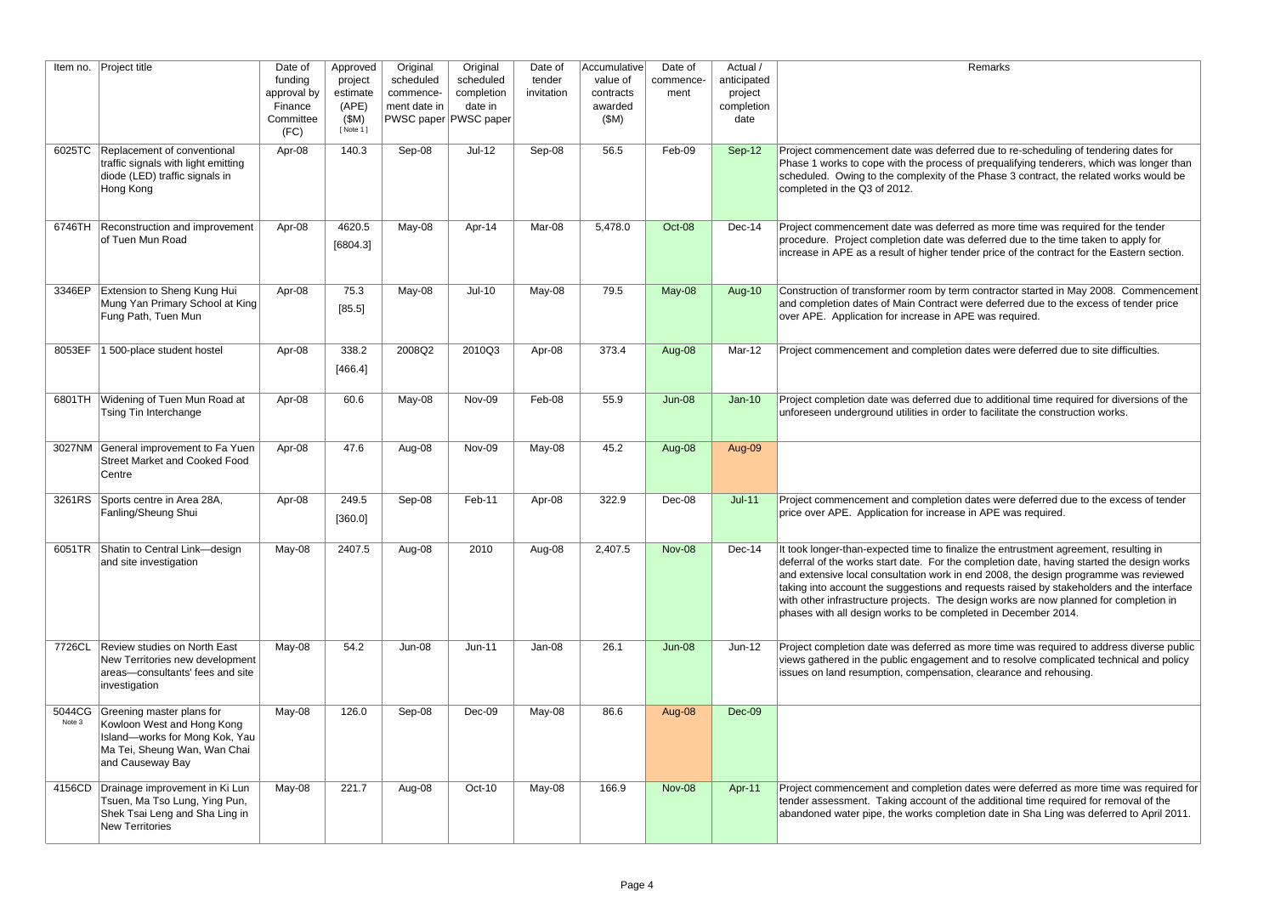#### Remarks

rred due to re-scheduling of tendering dates for s of prequalifying tenderers, which was longer than the Phase 3 contract, the related works would be

rred as more time was required for the tender is deferred due to the time taken to apply for nder price of the contract for the Eastern section.

rm contractor started in May 2008. Commencement were deferred due to the excess of tender price APE was required.

of dates were deferred due to site difficulties.

Iue to additional time required for diversions of the er to facilitate the construction works.

1 dates were deferred due to the excess of tender e in APE was required.

alize the entrustment agreement, resulting in completion date, having started the design works end 2008, the design programme was reviewed t requests raised by stakeholders and the interface design works are now planned for completion in pleted in December 2014.

is more time was required to address diverse public ent and to resolve complicated technical and policy ion, clearance and rehousing.

n dates were deferred as more time was required for the additional time required for removal of the bletion date in Sha Ling was deferred to April 2011.

| Item no. | Project title                                                                                                                                                     | Date of<br>funding<br>approval by<br>Finance<br>Committee<br>(FC) | Approved<br>project<br>estimate<br>(APE)<br>(SM)<br>[ Note 1 ] | Original<br>scheduled<br>commence-<br>ment date in | Original<br>scheduled<br>completion<br>date in<br>PWSC paper PWSC paper | Date of<br>tender<br>invitation | Accumulative<br>value of<br>contracts<br>awarded<br>(SM) | Date of<br>commence-<br>ment | Actual /<br>anticipated<br>project<br>completion<br>date |                                                                                                                                                                                                                                                                      |
|----------|-------------------------------------------------------------------------------------------------------------------------------------------------------------------|-------------------------------------------------------------------|----------------------------------------------------------------|----------------------------------------------------|-------------------------------------------------------------------------|---------------------------------|----------------------------------------------------------|------------------------------|----------------------------------------------------------|----------------------------------------------------------------------------------------------------------------------------------------------------------------------------------------------------------------------------------------------------------------------|
|          | Replacement of conventional<br>6025TC<br>traffic signals with light emitting<br>diode (LED) traffic signals in<br>Hong Kong                                       | Apr-08                                                            | 140.3                                                          | Sep-08                                             | $Jul-12$                                                                | Sep-08                          | 56.5                                                     | Feb-09                       | Sep-12                                                   | Project commencement date was defer<br>Phase 1 works to cope with the process<br>scheduled. Owing to the complexity of<br>completed in the Q3 of 2012.                                                                                                               |
|          | Reconstruction and improvement<br>6746TH<br>of Tuen Mun Road                                                                                                      | Apr-08                                                            | 4620.5<br>[6804.3]                                             | May-08                                             | Apr-14                                                                  | Mar-08                          | 5,478.0                                                  | Oct-08                       | Dec-14                                                   | Project commencement date was defer<br>procedure. Project completion date was<br>increase in APE as a result of higher ter                                                                                                                                           |
|          | Extension to Sheng Kung Hui<br>3346EP<br>Mung Yan Primary School at King<br>Fung Path, Tuen Mun                                                                   | Apr-08                                                            | 75.3<br>[85.5]                                                 | May-08                                             | $Jul-10$                                                                | May-08                          | 79.5                                                     | May-08                       | Aug-10                                                   | Construction of transformer room by ter<br>and completion dates of Main Contract<br>over APE. Application for increase in A                                                                                                                                          |
|          | 8053EF<br>1 500-place student hostel                                                                                                                              | Apr-08                                                            | 338.2<br>[466.4]                                               | 2008Q2                                             | 2010Q3                                                                  | Apr-08                          | 373.4                                                    | Aug-08                       | Mar-12                                                   | Project commencement and completion                                                                                                                                                                                                                                  |
|          | Widening of Tuen Mun Road at<br>6801TH<br>Tsing Tin Interchange                                                                                                   | Apr-08                                                            | 60.6                                                           | May-08                                             | Nov-09                                                                  | Feb-08                          | 55.9                                                     | <b>Jun-08</b>                | $Jan-10$                                                 | Project completion date was deferred d<br>unforeseen underground utilities in orde                                                                                                                                                                                   |
|          | General improvement to Fa Yuen<br>3027NM<br><b>Street Market and Cooked Food</b><br>Centre                                                                        | Apr-08                                                            | 47.6                                                           | Aug-08                                             | Nov-09                                                                  | May-08                          | 45.2                                                     | Aug-08                       | Aug-09                                                   |                                                                                                                                                                                                                                                                      |
|          | 3261RS<br>Sports centre in Area 28A,<br>Fanling/Sheung Shui                                                                                                       | Apr-08                                                            | 249.5<br>[360.0]                                               | Sep-08                                             | Feb-11                                                                  | Apr-08                          | 322.9                                                    | Dec-08                       | $Jul-11$                                                 | Project commencement and completion<br>price over APE. Application for increas                                                                                                                                                                                       |
|          | 6051TR<br>Shatin to Central Link-design<br>and site investigation                                                                                                 | May-08                                                            | 2407.5                                                         | Aug-08                                             | 2010                                                                    | Aug-08                          | 2,407.5                                                  | <b>Nov-08</b>                | Dec-14                                                   | It took longer-than-expected time to fina<br>deferral of the works start date. For the<br>and extensive local consultation work in<br>taking into account the suggestions and<br>with other infrastructure projects. The c<br>phases with all design works to be com |
|          | Review studies on North East<br>7726CL<br>New Territories new development<br>areas-consultants' fees and site<br>investigation                                    | May-08                                                            | 54.2                                                           | <b>Jun-08</b>                                      | $Jun-11$                                                                | Jan-08                          | 26.1                                                     | <b>Jun-08</b>                | $Jun-12$                                                 | Project completion date was deferred a<br>views gathered in the public engageme<br>issues on land resumption, compensation                                                                                                                                           |
|          | 5044CG<br>Greening master plans for<br>Note 3<br>Kowloon West and Hong Kong<br>Island-works for Mong Kok, Yau<br>Ma Tei, Sheung Wan, Wan Chai<br>and Causeway Bay | May-08                                                            | 126.0                                                          | Sep-08                                             | Dec-09                                                                  | May-08                          | 86.6                                                     | Aug-08                       | Dec-09                                                   |                                                                                                                                                                                                                                                                      |
|          | 4156CD<br>Drainage improvement in Ki Lun<br>Tsuen, Ma Tso Lung, Ying Pun,<br>Shek Tsai Leng and Sha Ling in<br><b>New Territories</b>                             | May-08                                                            | 221.7                                                          | Aug-08                                             | Oct-10                                                                  | May-08                          | 166.9                                                    | <b>Nov-08</b>                | Apr-11                                                   | Project commencement and completion<br>tender assessment. Taking account of<br>abandoned water pipe, the works comp                                                                                                                                                  |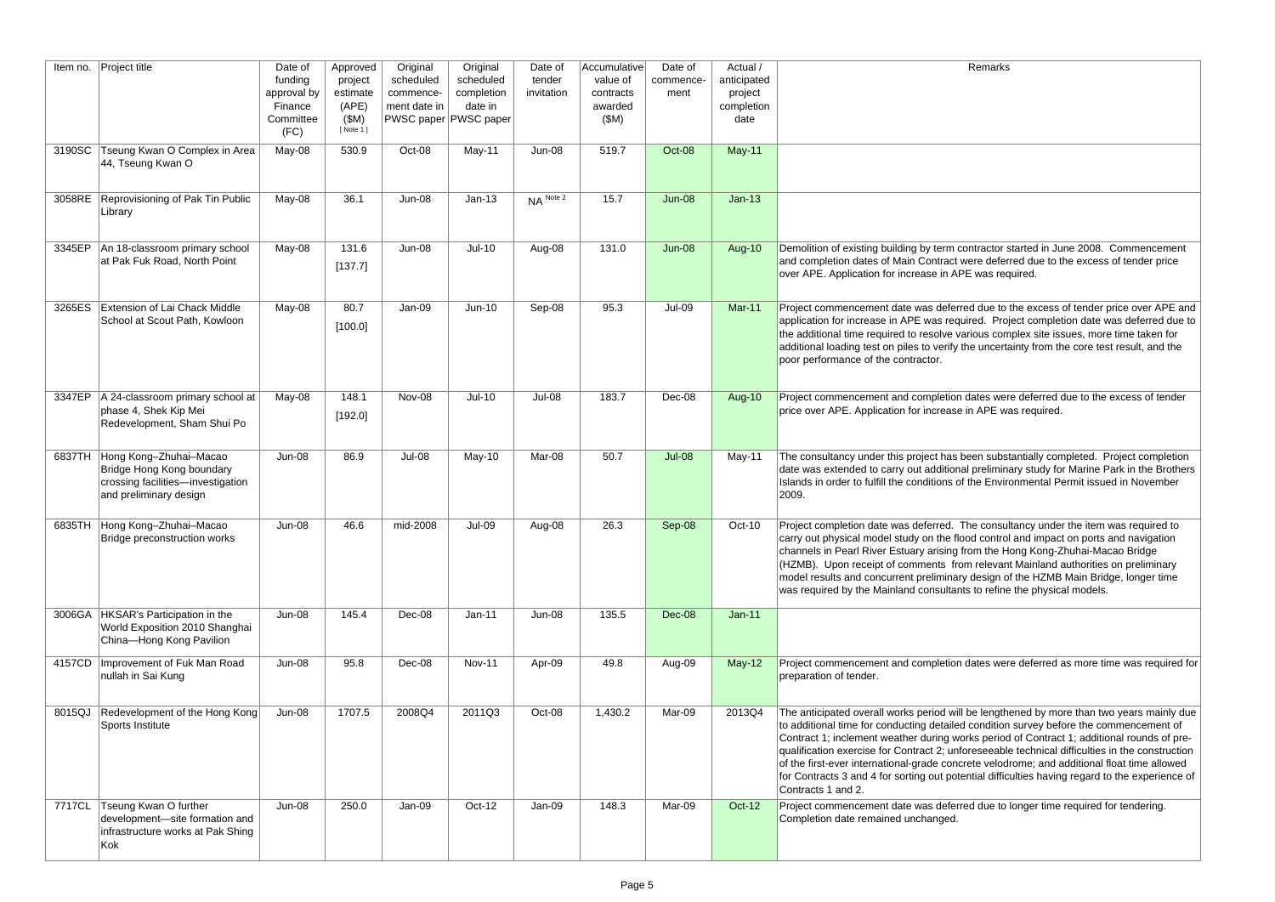| Remarks |  |
|---------|--|
|---------|--|

| Item no. | <b>Project title</b>                                                                                                      | Date of<br>funding<br>approval by<br>Finance<br>Committee<br>(FC) | Approved<br>project<br>estimate<br>(APE)<br>(SM)<br>[ Note 1 ] | Original<br>scheduled<br>commence-<br>ment date in | Original<br>scheduled<br>completion<br>date in<br>PWSC paper PWSC paper | Date of<br>tender<br>invitation | Accumulative<br>value of<br>contracts<br>awarded<br>(SM) | Date of<br>commence-<br>ment | Actual /<br>anticipated<br>project<br>completion<br>date | Remarks                                                                                                                                                                                                                                                                                                                                                                                                                                                                                                                                                                                                      |
|----------|---------------------------------------------------------------------------------------------------------------------------|-------------------------------------------------------------------|----------------------------------------------------------------|----------------------------------------------------|-------------------------------------------------------------------------|---------------------------------|----------------------------------------------------------|------------------------------|----------------------------------------------------------|--------------------------------------------------------------------------------------------------------------------------------------------------------------------------------------------------------------------------------------------------------------------------------------------------------------------------------------------------------------------------------------------------------------------------------------------------------------------------------------------------------------------------------------------------------------------------------------------------------------|
| 3190SC   | Tseung Kwan O Complex in Area<br>44, Tseung Kwan O                                                                        | May-08                                                            | 530.9                                                          | Oct-08                                             | May-11                                                                  | Jun-08                          | 519.7                                                    | Oct-08                       | $May-11$                                                 |                                                                                                                                                                                                                                                                                                                                                                                                                                                                                                                                                                                                              |
|          | 3058RE Reprovisioning of Pak Tin Public<br>Library                                                                        | May-08                                                            | 36.1                                                           | Jun-08                                             | $Jan-13$                                                                | NA Note 2                       | 15.7                                                     | $Jun-08$                     | $Jan-13$                                                 |                                                                                                                                                                                                                                                                                                                                                                                                                                                                                                                                                                                                              |
|          | 3345EP   An 18-classroom primary school<br>at Pak Fuk Road, North Point                                                   | May-08                                                            | 131.6<br>[137.7]                                               | <b>Jun-08</b>                                      | $Jul-10$                                                                | Aug-08                          | 131.0                                                    | $Jun-08$                     | Aug-10                                                   | Demolition of existing building by term contractor started in June 2008. Commencement<br>and completion dates of Main Contract were deferred due to the excess of tender price<br>over APE. Application for increase in APE was required.                                                                                                                                                                                                                                                                                                                                                                    |
| 3265ES   | Extension of Lai Chack Middle<br>School at Scout Path, Kowloon                                                            | May-08                                                            | 80.7<br>[100.0]                                                | Jan-09                                             | $Jun-10$                                                                | Sep-08                          | 95.3                                                     | <b>Jul-09</b>                | <b>Mar-11</b>                                            | Project commencement date was deferred due to the excess of tender price over APE and<br>application for increase in APE was required. Project completion date was deferred due to<br>the additional time required to resolve various complex site issues, more time taken for<br>additional loading test on piles to verify the uncertainty from the core test result, and the<br>poor performance of the contractor.                                                                                                                                                                                       |
|          | 3347EP   A 24-classroom primary school at<br>phase 4, Shek Kip Mei<br>Redevelopment, Sham Shui Po                         | May-08                                                            | 148.1<br>[192.0]                                               | Nov-08                                             | $Jul-10$                                                                | Jul-08                          | 183.7                                                    | Dec-08                       | Aug-10                                                   | Project commencement and completion dates were deferred due to the excess of tender<br>price over APE. Application for increase in APE was required.                                                                                                                                                                                                                                                                                                                                                                                                                                                         |
|          | 6837TH Hong Kong-Zhuhai-Macao<br>Bridge Hong Kong boundary<br>crossing facilities-investigation<br>and preliminary design | <b>Jun-08</b>                                                     | 86.9                                                           | Jul-08                                             | May-10                                                                  | Mar-08                          | 50.7                                                     | <b>Jul-08</b>                | May-11                                                   | The consultancy under this project has been substantially completed. Project completion<br>date was extended to carry out additional preliminary study for Marine Park in the Brothers<br>Islands in order to fulfill the conditions of the Environmental Permit issued in November<br> 2009.                                                                                                                                                                                                                                                                                                                |
|          | 6835TH Hong Kong-Zhuhai-Macao<br>Bridge preconstruction works                                                             | <b>Jun-08</b>                                                     | 46.6                                                           | mid-2008                                           | <b>Jul-09</b>                                                           | Aug-08                          | 26.3                                                     | Sep-08                       | Oct-10                                                   | Project completion date was deferred. The consultancy under the item was required to<br>carry out physical model study on the flood control and impact on ports and navigation<br>channels in Pearl River Estuary arising from the Hong Kong-Zhuhai-Macao Bridge<br>(HZMB). Upon receipt of comments from relevant Mainland authorities on preliminary<br>model results and concurrent preliminary design of the HZMB Main Bridge, longer time<br>was required by the Mainland consultants to refine the physical models.                                                                                    |
|          | 3006GA HKSAR's Participation in the<br>World Exposition 2010 Shanghai<br>China-Hong Kong Pavilion                         | $Jun-08$                                                          | 145.4                                                          | Dec-08                                             | $Jan-11$                                                                | <b>Jun-08</b>                   | 135.5                                                    | $Dec-08$                     | $Jan-11$                                                 |                                                                                                                                                                                                                                                                                                                                                                                                                                                                                                                                                                                                              |
| 4157CD   | Improvement of Fuk Man Road<br>nullah in Sai Kung                                                                         | <b>Jun-08</b>                                                     | 95.8                                                           | Dec-08                                             | <b>Nov-11</b>                                                           | Apr-09                          | 49.8                                                     | Aug-09                       | $May-12$                                                 | Project commencement and completion dates were deferred as more time was required for<br>preparation of tender.                                                                                                                                                                                                                                                                                                                                                                                                                                                                                              |
|          | 8015QJ Redevelopment of the Hong Kong<br>Sports Institute                                                                 | Jun-08                                                            | 1707.5                                                         | 2008Q4                                             | 2011Q3                                                                  | Oct-08                          | 1,430.2                                                  | Mar-09                       | 2013Q4                                                   | The anticipated overall works period will be lengthened by more than two years mainly due<br>to additional time for conducting detailed condition survey before the commencement of<br>Contract 1; inclement weather during works period of Contract 1; additional rounds of pre-<br>qualification exercise for Contract 2; unforeseeable technical difficulties in the construction<br>of the first-ever international-grade concrete velodrome; and additional float time allowed<br>for Contracts 3 and 4 for sorting out potential difficulties having regard to the experience of<br>Contracts 1 and 2. |
| 7717CL   | Tseung Kwan O further<br>development-site formation and<br>infrastructure works at Pak Shing<br>Kok                       | <b>Jun-08</b>                                                     | 250.0                                                          | Jan-09                                             | Oct-12                                                                  | Jan-09                          | 148.3                                                    | Mar-09                       | Oct-12                                                   | Project commencement date was deferred due to longer time required for tendering.<br>Completion date remained unchanged.                                                                                                                                                                                                                                                                                                                                                                                                                                                                                     |

| Demolition of existing building by term contractor started in June 2008. Commencement<br>and completion dates of Main Contract were deferred due to the excess of tender price<br>over APE. Application for increase in APE was required.                                                                                                                                                                                                                                                                                                                                                                    |
|--------------------------------------------------------------------------------------------------------------------------------------------------------------------------------------------------------------------------------------------------------------------------------------------------------------------------------------------------------------------------------------------------------------------------------------------------------------------------------------------------------------------------------------------------------------------------------------------------------------|
| Project commencement date was deferred due to the excess of tender price over APE and<br>application for increase in APE was required. Project completion date was deferred due to<br>the additional time required to resolve various complex site issues, more time taken for<br>additional loading test on piles to verify the uncertainty from the core test result, and the<br>poor performance of the contractor.                                                                                                                                                                                       |
| Project commencement and completion dates were deferred due to the excess of tender<br>price over APE. Application for increase in APE was required.                                                                                                                                                                                                                                                                                                                                                                                                                                                         |
| The consultancy under this project has been substantially completed. Project completion<br>date was extended to carry out additional preliminary study for Marine Park in the Brothers<br>Islands in order to fulfill the conditions of the Environmental Permit issued in November<br>2009.                                                                                                                                                                                                                                                                                                                 |
| Project completion date was deferred. The consultancy under the item was required to<br>carry out physical model study on the flood control and impact on ports and navigation<br>channels in Pearl River Estuary arising from the Hong Kong-Zhuhai-Macao Bridge<br>(HZMB). Upon receipt of comments from relevant Mainland authorities on preliminary<br>model results and concurrent preliminary design of the HZMB Main Bridge, longer time<br>was required by the Mainland consultants to refine the physical models.                                                                                    |
| Project commencement and completion dates were deferred as more time was required for<br>preparation of tender.                                                                                                                                                                                                                                                                                                                                                                                                                                                                                              |
| The anticipated overall works period will be lengthened by more than two years mainly due<br>to additional time for conducting detailed condition survey before the commencement of<br>Contract 1; inclement weather during works period of Contract 1; additional rounds of pre-<br>qualification exercise for Contract 2; unforeseeable technical difficulties in the construction<br>of the first-ever international-grade concrete velodrome; and additional float time allowed<br>for Contracts 3 and 4 for sorting out potential difficulties having regard to the experience of<br>Contracts 1 and 2. |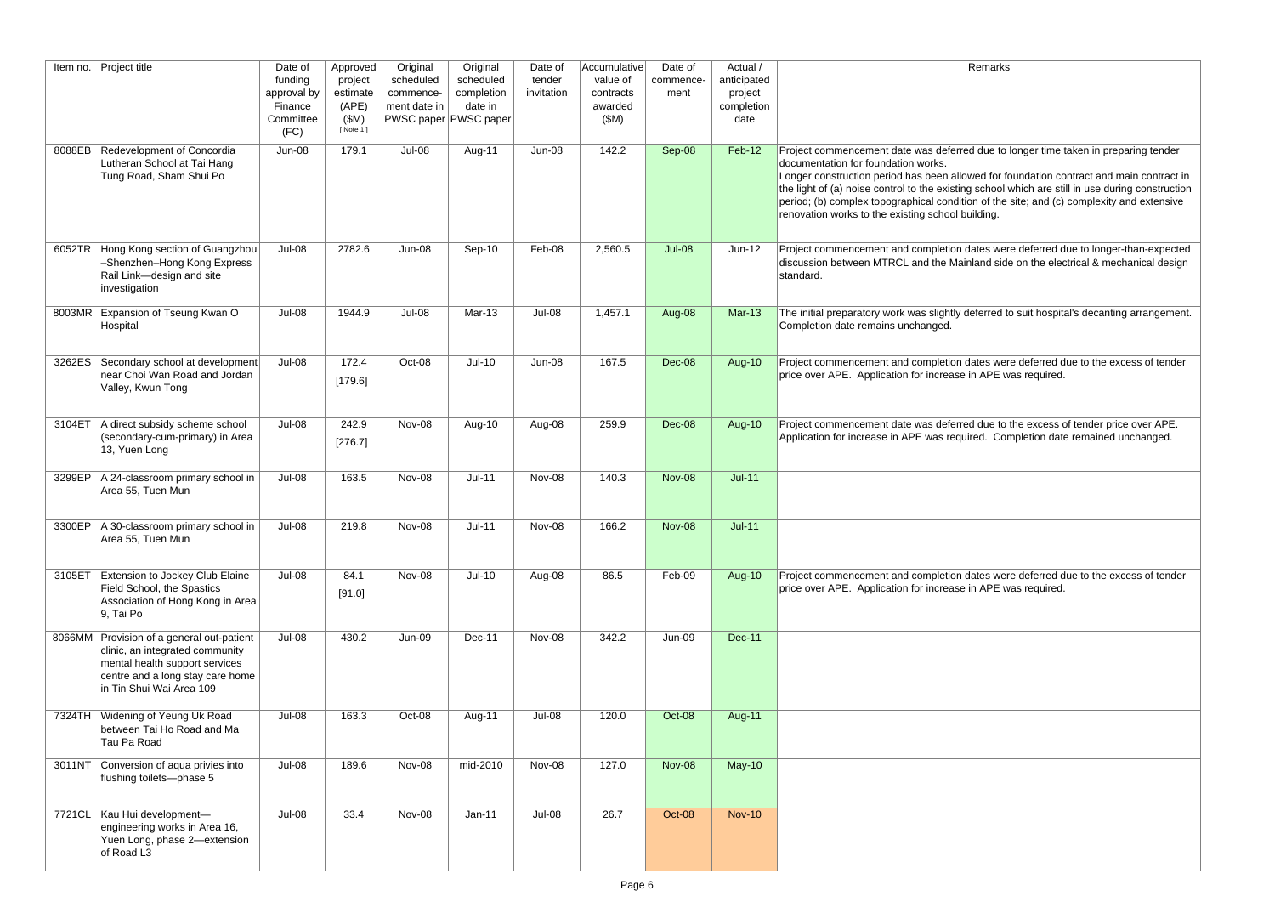rred due to longer time taken in preparing tender

llowed for foundation contract and main contract in ing school which are still in use during construction lition of the site; and (c) complexity and extensive building.

Indates were deferred due to longer-than-expected ainland side on the electrical & mechanical design

Jul-08 1945.<br>Hul-08 1957.1 Juli-08 Mar-13 Jul-08 1,457.1 August work was deferred to suit hospital's decanting arrangement.

In dates were deferred due to the excess of tender e in APE was required.

rred due to the excess of tender price over APE. quired. Completion date remained unchanged.

In dates were deferred due to the excess of tender e in APE was required.

| Item no. | Project title                                                                                                                                                                  | Date of<br>funding<br>approval by<br>Finance<br>Committee<br>(FC) | Approved<br>project<br>estimate<br>(APE)<br>(SM)<br>[ Note 1 ] | Original<br>scheduled<br>commence-<br>ment date in | Original<br>scheduled<br>completion<br>date in<br>PWSC paper PWSC paper | Date of<br>tender<br>invitation | Accumulative<br>value of<br>contracts<br>awarded<br>(SM) | Date of<br>commence-<br>ment | Actual /<br>anticipated<br>project<br>completion<br>date |                                                                                                                                                                                                                                                             |
|----------|--------------------------------------------------------------------------------------------------------------------------------------------------------------------------------|-------------------------------------------------------------------|----------------------------------------------------------------|----------------------------------------------------|-------------------------------------------------------------------------|---------------------------------|----------------------------------------------------------|------------------------------|----------------------------------------------------------|-------------------------------------------------------------------------------------------------------------------------------------------------------------------------------------------------------------------------------------------------------------|
| 8088EB   | Redevelopment of Concordia<br>Lutheran School at Tai Hang<br>Tung Road, Sham Shui Po                                                                                           | <b>Jun-08</b>                                                     | 179.1                                                          | Jul-08                                             | Aug-11                                                                  | <b>Jun-08</b>                   | 142.2                                                    | Sep-08                       | Feb-12                                                   | Project commencement date was defer<br>documentation for foundation works.<br>Longer construction period has been all<br>the light of (a) noise control to the existi<br>period; (b) complex topographical condi<br>renovation works to the existing school |
| 6052TR   | Hong Kong section of Guangzhou<br>-Shenzhen-Hong Kong Express<br>Rail Link-design and site<br>investigation                                                                    | Jul-08                                                            | 2782.6                                                         | Jun-08                                             | Sep-10                                                                  | Feb-08                          | 2,560.5                                                  | <b>Jul-08</b>                | $Jun-12$                                                 | Project commencement and completion<br>discussion between MTRCL and the Ma<br>standard.                                                                                                                                                                     |
|          | 8003MR Expansion of Tseung Kwan O<br>Hospital                                                                                                                                  | <b>Jul-08</b>                                                     | 1944.9                                                         | <b>Jul-08</b>                                      | <b>Mar-13</b>                                                           | Jul-08                          | 1,457.1                                                  | Aug-08                       | <b>Mar-13</b>                                            | The initial preparatory work was slightly<br>Completion date remains unchanged.                                                                                                                                                                             |
| 3262ES   | Secondary school at development<br>near Choi Wan Road and Jordan<br>Valley, Kwun Tong                                                                                          | Jul-08                                                            | 172.4<br>[179.6]                                               | Oct-08                                             | $Jul-10$                                                                | <b>Jun-08</b>                   | 167.5                                                    | Dec-08                       | Aug-10                                                   | Project commencement and completion<br>price over APE. Application for increas                                                                                                                                                                              |
| 3104ET   | A direct subsidy scheme school<br>(secondary-cum-primary) in Area<br>13, Yuen Long                                                                                             | Jul-08                                                            | 242.9<br>[276.7]                                               | Nov-08                                             | Aug-10                                                                  | Aug-08                          | 259.9                                                    | Dec-08                       | Aug-10                                                   | Project commencement date was defer<br>Application for increase in APE was req                                                                                                                                                                              |
| 3299EP   | A 24-classroom primary school in<br>Area 55, Tuen Mun                                                                                                                          | Jul-08                                                            | 163.5                                                          | Nov-08                                             | $Jul-11$                                                                | Nov-08                          | 140.3                                                    | <b>Nov-08</b>                | $Jul-11$                                                 |                                                                                                                                                                                                                                                             |
|          | 3300EP   A 30-classroom primary school in<br>Area 55, Tuen Mun                                                                                                                 | Jul-08                                                            | 219.8                                                          | Nov-08                                             | $Jul-11$                                                                | Nov-08                          | 166.2                                                    | <b>Nov-08</b>                | $Jul-11$                                                 |                                                                                                                                                                                                                                                             |
| 3105ET   | <b>Extension to Jockey Club Elaine</b><br>Field School, the Spastics<br>Association of Hong Kong in Area<br>9, Tai Po                                                          | Jul-08                                                            | 84.1<br>[91.0]                                                 | Nov-08                                             | $Jul-10$                                                                | Aug-08                          | 86.5                                                     | Feb-09                       | <b>Aug-10</b>                                            | Project commencement and completion<br>price over APE. Application for increas                                                                                                                                                                              |
|          | 8066MM Provision of a general out-patient<br>clinic, an integrated community<br>mental health support services<br>centre and a long stay care home<br>in Tin Shui Wai Area 109 | Jul-08                                                            | 430.2                                                          | <b>Jun-09</b>                                      | Dec-11                                                                  | Nov-08                          | 342.2                                                    | <b>Jun-09</b>                | <b>Dec-11</b>                                            |                                                                                                                                                                                                                                                             |
| 7324TH   | Widening of Yeung Uk Road<br>between Tai Ho Road and Ma<br>Tau Pa Road                                                                                                         | Jul-08                                                            | 163.3                                                          | Oct-08                                             | Aug-11                                                                  | Jul-08                          | 120.0                                                    | Oct-08                       | Aug-11                                                   |                                                                                                                                                                                                                                                             |
| 3011NT   | Conversion of aqua privies into<br>flushing toilets-phase 5                                                                                                                    | Jul-08                                                            | 189.6                                                          | Nov-08                                             | mid-2010                                                                | Nov-08                          | 127.0                                                    | <b>Nov-08</b>                | $May-10$                                                 |                                                                                                                                                                                                                                                             |
| 7721CL   | Kau Hui development-<br>engineering works in Area 16,<br>Yuen Long, phase 2-extension<br>of Road L3                                                                            | Jul-08                                                            | 33.4                                                           | Nov-08                                             | $Jan-11$                                                                | Jul-08                          | 26.7                                                     | Oct-08                       | <b>Nov-10</b>                                            |                                                                                                                                                                                                                                                             |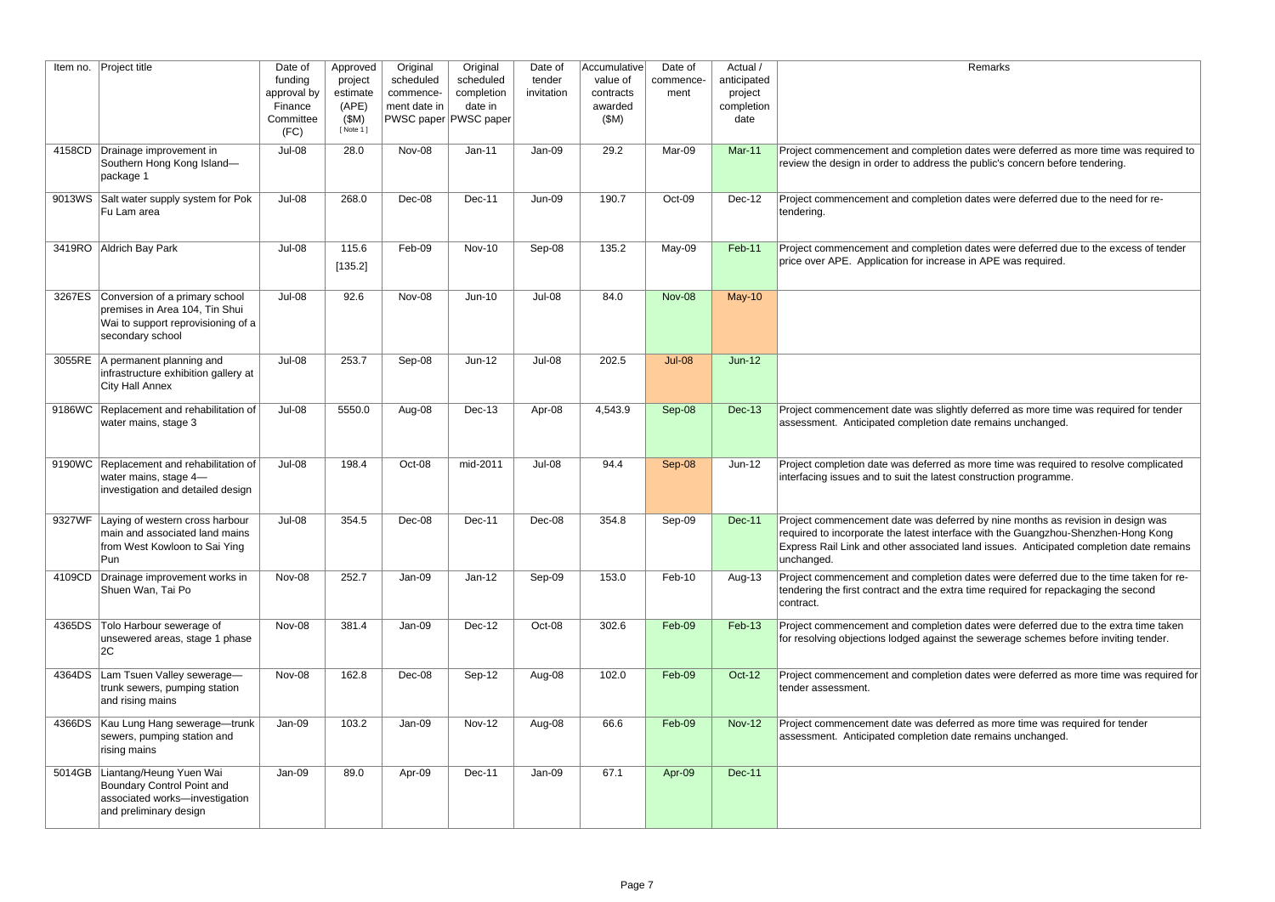#### Remarks

I dates were deferred as more time was required to ne public's concern before tendering.

I dates were deferred due to the need for re-

1 dates were deferred due to the excess of tender e in APE was required.

tly deferred as more time was required for tender ate remains unchanged.

is more time was required to resolve complicated construction programme.

rred by nine months as revision in design was ace with the Guangzhou-Shenzhen-Hong Kong I land issues. Anticipated completion date remains

n dates were deferred due to the time taken for retime required for repackaging the second

n dates were deferred due to the extra time taken the sewerage schemes before inviting tender.

n dates were deferred as more time was required for

Tred as more time was required for tender ate remains unchanged.

| Item no. | Project title                                                                                                              | Date of<br>funding<br>approval by<br>Finance<br>Committee<br>(FC) | Approved<br>project<br>estimate<br>(APE)<br>(SM)<br>[Note 1] | Original<br>scheduled<br>commence-<br>ment date in | Original<br>scheduled<br>completion<br>date in<br>PWSC paper PWSC paper | Date of<br>tender<br>invitation | Accumulative<br>value of<br>contracts<br>awarded<br>(SM) | Date of<br>commence-<br>ment | Actual /<br>anticipated<br>project<br>completion<br>date |                                                                                                                                           |
|----------|----------------------------------------------------------------------------------------------------------------------------|-------------------------------------------------------------------|--------------------------------------------------------------|----------------------------------------------------|-------------------------------------------------------------------------|---------------------------------|----------------------------------------------------------|------------------------------|----------------------------------------------------------|-------------------------------------------------------------------------------------------------------------------------------------------|
| 4158CD   | Drainage improvement in<br>Southern Hong Kong Island-<br>package 1                                                         | Jul-08                                                            | 28.0                                                         | Nov-08                                             | Jan-11                                                                  | Jan-09                          | 29.2                                                     | Mar-09                       | <b>Mar-11</b>                                            | Project commencement and completion<br>review the design in order to address th                                                           |
| 9013WS   | Salt water supply system for Pok<br>Fu Lam area                                                                            | Jul-08                                                            | 268.0                                                        | Dec-08                                             | Dec-11                                                                  | Jun-09                          | 190.7                                                    | Oct-09                       | Dec-12                                                   | Project commencement and completion<br>tendering.                                                                                         |
| 3419RO   | Aldrich Bay Park                                                                                                           | Jul-08                                                            | 115.6<br>[135.2]                                             | Feb-09                                             | <b>Nov-10</b>                                                           | Sep-08                          | 135.2                                                    | May-09                       | <b>Feb-11</b>                                            | Project commencement and completion<br>price over APE. Application for increase                                                           |
| 3267ES   | Conversion of a primary school<br>premises in Area 104, Tin Shui<br>Wai to support reprovisioning of a<br>secondary school | Jul-08                                                            | 92.6                                                         | Nov-08                                             | $Jun-10$                                                                | Jul-08                          | 84.0                                                     | <b>Nov-08</b>                | <b>May-10</b>                                            |                                                                                                                                           |
| 3055RE   | A permanent planning and<br>infrastructure exhibition gallery at<br>City Hall Annex                                        | Jul-08                                                            | 253.7                                                        | Sep-08                                             | $Jun-12$                                                                | Jul-08                          | 202.5                                                    | <b>Jul-08</b>                | $Jun-12$                                                 |                                                                                                                                           |
| 9186WC   | Replacement and rehabilitation of<br>water mains, stage 3                                                                  | Jul-08                                                            | 5550.0                                                       | Aug-08                                             | Dec-13                                                                  | Apr-08                          | 4,543.9                                                  | Sep-08                       | <b>Dec-13</b>                                            | Project commencement date was slight<br>assessment. Anticipated completion da                                                             |
| 9190WC   | Replacement and rehabilitation of<br>water mains, stage 4-<br>investigation and detailed design                            | Jul-08                                                            | 198.4                                                        | Oct-08                                             | mid-2011                                                                | Jul-08                          | 94.4                                                     | Sep-08                       | $Jun-12$                                                 | Project completion date was deferred as<br>interfacing issues and to suit the latest o                                                    |
| 9327WF   | Laying of western cross harbour<br>main and associated land mains<br>from West Kowloon to Sai Ying<br>Pun                  | Jul-08                                                            | 354.5                                                        | Dec-08                                             | Dec-11                                                                  | Dec-08                          | 354.8                                                    | Sep-09                       | <b>Dec-11</b>                                            | Project commencement date was defer<br>required to incorporate the latest interfa<br>Express Rail Link and other associated<br>unchanged. |
| 4109CD   | Drainage improvement works in<br>Shuen Wan, Tai Po                                                                         | Nov-08                                                            | 252.7                                                        | Jan-09                                             | $Jan-12$                                                                | Sep-09                          | 153.0                                                    | Feb-10                       | Aug-13                                                   | Project commencement and completion<br>tendering the first contract and the extra<br>contract.                                            |
| 4365DS   | Tolo Harbour sewerage of<br>unsewered areas, stage 1 phase<br>2C                                                           | Nov-08                                                            | 381.4                                                        | Jan-09                                             | Dec-12                                                                  | Oct-08                          | 302.6                                                    | Feb-09                       | Feb-13                                                   | Project commencement and completion<br>for resolving objections lodged against t                                                          |
| 4364DS   | Lam Tsuen Valley sewerage-<br>trunk sewers, pumping station<br>and rising mains                                            | Nov-08                                                            | 162.8                                                        | Dec-08                                             | Sep-12                                                                  | Aug-08                          | 102.0                                                    | Feb-09                       | Oct-12                                                   | Project commencement and completion<br>tender assessment.                                                                                 |
| 4366DS   | Kau Lung Hang sewerage-trunk<br>sewers, pumping station and<br>rising mains                                                | Jan-09                                                            | 103.2                                                        | Jan-09                                             | <b>Nov-12</b>                                                           | Aug-08                          | 66.6                                                     | Feb-09                       | <b>Nov-12</b>                                            | Project commencement date was defer<br>assessment. Anticipated completion da                                                              |
| 5014GB   | Liantang/Heung Yuen Wai<br>Boundary Control Point and<br>associated works-investigation<br>and preliminary design          | Jan-09                                                            | 89.0                                                         | Apr-09                                             | Dec-11                                                                  | Jan-09                          | 67.1                                                     | Apr-09                       | <b>Dec-11</b>                                            |                                                                                                                                           |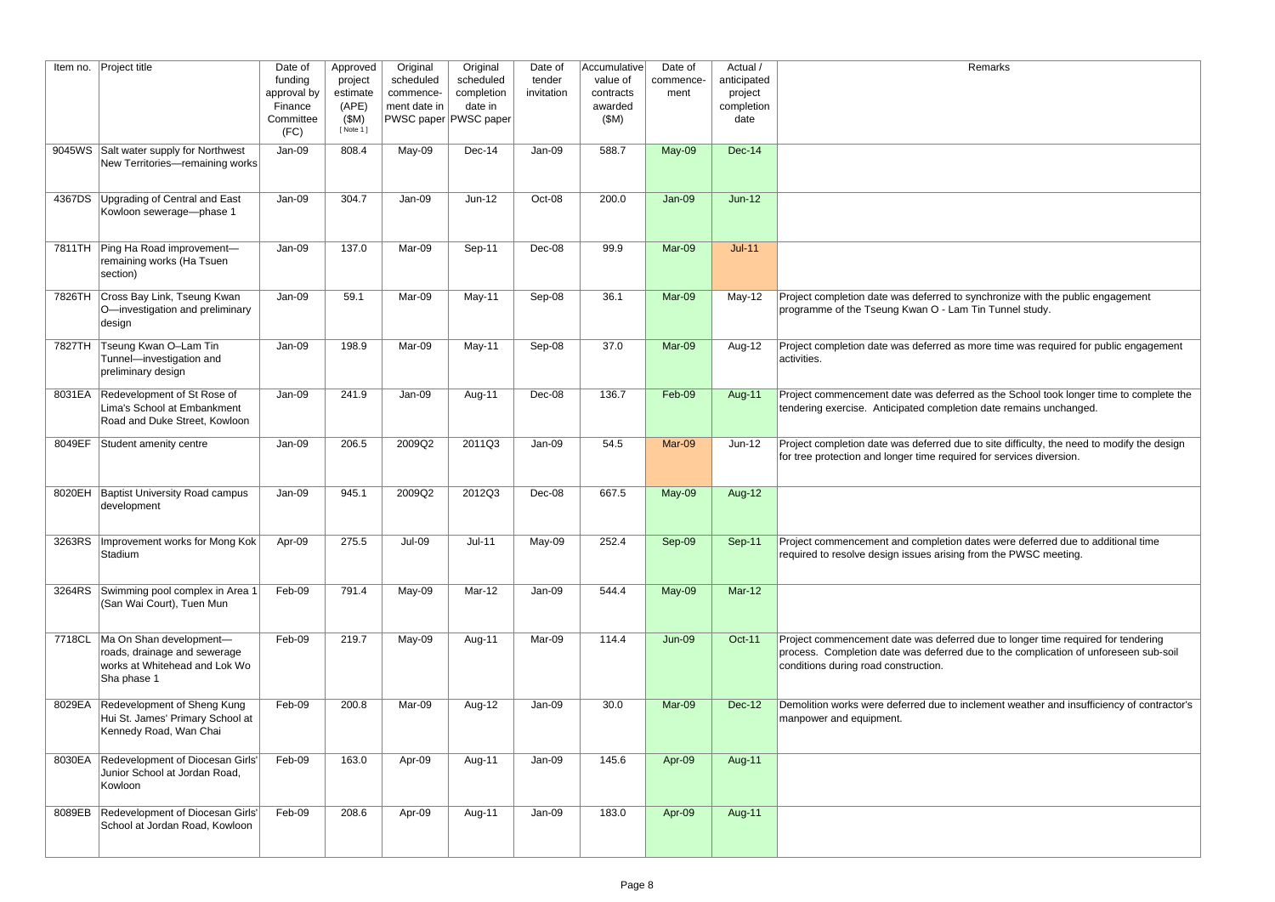| Remarks |  |
|---------|--|
|         |  |
|         |  |
|         |  |
|         |  |
|         |  |
|         |  |
|         |  |
|         |  |

o synchronize with the public engagement im Tin Tunnel study.

Is more time was required for public engagement

rred as the School took longer time to complete the etion date remains unchanged.

Iue to site difficulty, the need to modify the design ired for services diversion.

1 dates were deferred due to additional time g from the PWSC meeting.

rred due to longer time required for tendering I due to the complication of unforeseen sub-soil

inclement weather and insufficiency of contractor's

| Item no. | Project title                                                                                           | Date of<br>funding<br>approval by<br>Finance<br>Committee<br>(FC) | Approved<br>project<br>estimate<br>(APE)<br>(SM)<br>[ Note 1 ] | Original<br>scheduled<br>commence-<br>ment date in | Original<br>scheduled<br>completion<br>date in<br>PWSC paper PWSC paper | Date of<br>tender<br>invitation | Accumulative<br>value of<br>contracts<br>awarded<br>(SM) | Date of<br>commence-<br>ment | Actual /<br>anticipated<br>project<br>completion<br>date |                                                                                                                       |
|----------|---------------------------------------------------------------------------------------------------------|-------------------------------------------------------------------|----------------------------------------------------------------|----------------------------------------------------|-------------------------------------------------------------------------|---------------------------------|----------------------------------------------------------|------------------------------|----------------------------------------------------------|-----------------------------------------------------------------------------------------------------------------------|
| 9045WS   | Salt water supply for Northwest<br>New Territories-remaining works                                      | Jan-09                                                            | 808.4                                                          | May-09                                             | <b>Dec-14</b>                                                           | Jan-09                          | 588.7                                                    | May-09                       | Dec-14                                                   |                                                                                                                       |
| 4367DS   | Upgrading of Central and East<br>Kowloon sewerage-phase 1                                               | Jan-09                                                            | 304.7                                                          | Jan-09                                             | $Jun-12$                                                                | Oct-08                          | 200.0                                                    | Jan-09                       | $Jun-12$                                                 |                                                                                                                       |
| 7811TH   | Ping Ha Road improvement-<br>remaining works (Ha Tsuen<br>section)                                      | Jan-09                                                            | 137.0                                                          | Mar-09                                             | Sep-11                                                                  | Dec-08                          | 99.9                                                     | Mar-09                       | $Jul-11$                                                 |                                                                                                                       |
| 7826TH   | Cross Bay Link, Tseung Kwan<br>O-investigation and preliminary<br>design                                | Jan-09                                                            | 59.1                                                           | Mar-09                                             | May-11                                                                  | Sep-08                          | 36.1                                                     | Mar-09                       | May-12                                                   | Project completion date was deferred to<br>programme of the Tseung Kwan O - Lar                                       |
| 7827TH   | Tseung Kwan O-Lam Tin<br>Tunnel-investigation and<br>preliminary design                                 | Jan-09                                                            | 198.9                                                          | Mar-09                                             | May-11                                                                  | Sep-08                          | 37.0                                                     | Mar-09                       | Aug-12                                                   | Project completion date was deferred as<br>activities.                                                                |
| 8031EA   | Redevelopment of St Rose of<br>Lima's School at Embankment<br>Road and Duke Street, Kowloon             | Jan-09                                                            | 241.9                                                          | Jan-09                                             | Aug-11                                                                  | Dec-08                          | 136.7                                                    | Feb-09                       | Aug-11                                                   | Project commencement date was deferr<br>tendering exercise. Anticipated complet                                       |
| 8049EF   | Student amenity centre                                                                                  | Jan-09                                                            | 206.5                                                          | 2009Q2                                             | 2011Q3                                                                  | Jan-09                          | 54.5                                                     | Mar-09                       | $Jun-12$                                                 | Project completion date was deferred du<br>for tree protection and longer time requi                                  |
| 8020EH   | <b>Baptist University Road campus</b><br>development                                                    | Jan-09                                                            | 945.1                                                          | 2009Q2                                             | 2012Q3                                                                  | Dec-08                          | 667.5                                                    | May-09                       | <b>Aug-12</b>                                            |                                                                                                                       |
| 3263RS   | Improvement works for Mong Kok<br>Stadium                                                               | Apr-09                                                            | 275.5                                                          | <b>Jul-09</b>                                      | <b>Jul-11</b>                                                           | May-09                          | 252.4                                                    | Sep-09                       | Sep-11                                                   | Project commencement and completion<br>required to resolve design issues arising                                      |
| 3264RS   | Swimming pool complex in Area 1<br>(San Wai Court), Tuen Mun                                            | Feb-09                                                            | 791.4                                                          | May-09                                             | Mar-12                                                                  | Jan-09                          | 544.4                                                    | May-09                       | <b>Mar-12</b>                                            |                                                                                                                       |
| 7718CL   | Ma On Shan development-<br>roads, drainage and sewerage<br>works at Whitehead and Lok Wo<br>Sha phase 1 | Feb-09                                                            | 219.7                                                          | May-09                                             | Aug-11                                                                  | Mar-09                          | 114.4                                                    | <b>Jun-09</b>                | <b>Oct-11</b>                                            | Project commencement date was deferr<br>process. Completion date was deferred<br>conditions during road construction. |
| 8029EA   | Redevelopment of Sheng Kung<br>Hui St. James' Primary School at<br>Kennedy Road, Wan Chai               | Feb-09                                                            | 200.8                                                          | Mar-09                                             | Aug-12                                                                  | Jan-09                          | 30.0                                                     | Mar-09                       | $Dec-12$                                                 | Demolition works were deferred due to i<br>manpower and equipment.                                                    |
| 8030EA   | Redevelopment of Diocesan Girls'<br>Junior School at Jordan Road,<br>Kowloon                            | Feb-09                                                            | 163.0                                                          | Apr-09                                             | Aug-11                                                                  | Jan-09                          | 145.6                                                    | Apr-09                       | Aug-11                                                   |                                                                                                                       |
| 8089EB   | Redevelopment of Diocesan Girls'<br>School at Jordan Road, Kowloon                                      | Feb-09                                                            | 208.6                                                          | Apr-09                                             | Aug-11                                                                  | Jan-09                          | 183.0                                                    | Apr-09                       | Aug-11                                                   |                                                                                                                       |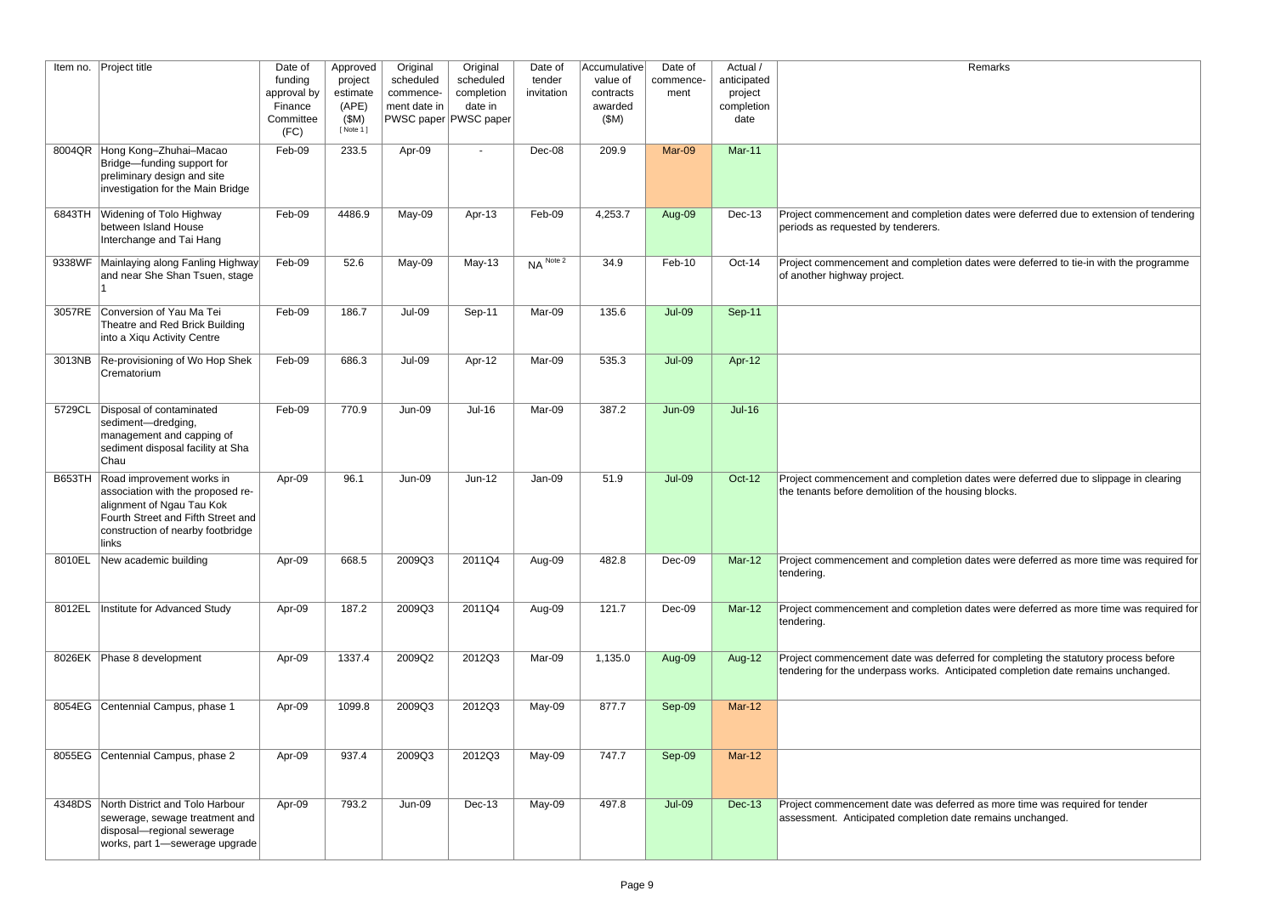<sub>1</sub> dates were deferred due to extension of tendering

If dates were deferred to tie-in with the programme

1 dates were deferred due to slippage in clearing using blocks.

1 dates were deferred as more time was required for

1 dates were deferred as more time was required for

rred for completing the statutory process before ticipated completion date remains unchanged.

rred as more time was required for tender ate remains unchanged.

| Item no.      | Project title                                                                                                                                                                   | Date of<br>funding<br>approval by<br>Finance<br>Committee<br>(FC) | Approved<br>project<br>estimate<br>(APE)<br>(SM)<br>[ Note 1 ] | Original<br>scheduled<br>commence-<br>ment date in | Original<br>scheduled<br>completion<br>date in<br>PWSC paper PWSC paper | Date of<br>tender<br>invitation | Accumulative<br>value of<br>contracts<br>awarded<br>(SM) | Date of<br>commence-<br>ment | Actual /<br>anticipated<br>project<br>completion<br>date |                                                                                 |
|---------------|---------------------------------------------------------------------------------------------------------------------------------------------------------------------------------|-------------------------------------------------------------------|----------------------------------------------------------------|----------------------------------------------------|-------------------------------------------------------------------------|---------------------------------|----------------------------------------------------------|------------------------------|----------------------------------------------------------|---------------------------------------------------------------------------------|
| 8004QR        | Hong Kong-Zhuhai-Macao<br>Bridge-funding support for<br>preliminary design and site<br>investigation for the Main Bridge                                                        | Feb-09                                                            | 233.5                                                          | Apr-09                                             | $\blacksquare$                                                          | Dec-08                          | 209.9                                                    | Mar-09                       | <b>Mar-11</b>                                            |                                                                                 |
| 6843TH        | <b>Widening of Tolo Highway</b><br>between Island House<br>Interchange and Tai Hang                                                                                             | Feb-09                                                            | 4486.9                                                         | May-09                                             | Apr-13                                                                  | Feb-09                          | 4,253.7                                                  | Aug-09                       | <b>Dec-13</b>                                            | Project commencement and completion<br>periods as requested by tenderers.       |
| 9338WF        | Mainlaying along Fanling Highway<br>and near She Shan Tsuen, stage                                                                                                              | Feb-09                                                            | 52.6                                                           | May-09                                             | May-13                                                                  | NA Note 2                       | 34.9                                                     | Feb-10                       | Oct-14                                                   | Project commencement and completion<br>of another highway project.              |
| 3057RE        | Conversion of Yau Ma Tei<br>Theatre and Red Brick Building<br>into a Xiqu Activity Centre                                                                                       | Feb-09                                                            | 186.7                                                          | <b>Jul-09</b>                                      | Sep-11                                                                  | Mar-09                          | 135.6                                                    | <b>Jul-09</b>                | <b>Sep-11</b>                                            |                                                                                 |
| 3013NB        | Re-provisioning of Wo Hop Shek<br>Crematorium                                                                                                                                   | Feb-09                                                            | 686.3                                                          | <b>Jul-09</b>                                      | Apr-12                                                                  | Mar-09                          | 535.3                                                    | <b>Jul-09</b>                | Apr-12                                                   |                                                                                 |
| 5729CL        | Disposal of contaminated<br>sediment-dredging,<br>management and capping of<br>sediment disposal facility at Sha<br>Chau                                                        | Feb-09                                                            | 770.9                                                          | <b>Jun-09</b>                                      | $Jul-16$                                                                | Mar-09                          | 387.2                                                    | <b>Jun-09</b>                | <b>Jul-16</b>                                            |                                                                                 |
| <b>B653TH</b> | Road improvement works in<br>association with the proposed re-<br>alignment of Ngau Tau Kok<br>Fourth Street and Fifth Street and<br>construction of nearby footbridge<br>links | Apr-09                                                            | 96.1                                                           | <b>Jun-09</b>                                      | $Jun-12$                                                                | Jan-09                          | 51.9                                                     | <b>Jul-09</b>                | <b>Oct-12</b>                                            | Project commencement and completion<br>the tenants before demolition of the hou |
| 8010EL        | New academic building                                                                                                                                                           | Apr-09                                                            | 668.5                                                          | 2009Q3                                             | 2011Q4                                                                  | Aug-09                          | 482.8                                                    | Dec-09                       | <b>Mar-12</b>                                            | Project commencement and completion<br>tendering.                               |
| 8012EL        | Institute for Advanced Study                                                                                                                                                    | Apr-09                                                            | 187.2                                                          | 2009Q3                                             | 2011Q4                                                                  | Aug-09                          | 121.7                                                    | Dec-09                       | Mar-12                                                   | Project commencement and completion<br>tendering.                               |
| 8026EK        | Phase 8 development                                                                                                                                                             | Apr-09                                                            | 1337.4                                                         | 2009Q2                                             | 2012Q3                                                                  | Mar-09                          | 1,135.0                                                  | Aug-09                       | Aug-12                                                   | Project commencement date was defer<br>tendering for the underpass works. Ant   |
| 8054EG        | Centennial Campus, phase 1                                                                                                                                                      | Apr-09                                                            | 1099.8                                                         | 2009Q3                                             | 2012Q3                                                                  | May-09                          | 877.7                                                    | Sep-09                       | <b>Mar-12</b>                                            |                                                                                 |
| 8055EG        | Centennial Campus, phase 2                                                                                                                                                      | Apr-09                                                            | 937.4                                                          | 2009Q3                                             | 2012Q3                                                                  | May-09                          | 747.7                                                    | Sep-09                       | <b>Mar-12</b>                                            |                                                                                 |
| 4348DS        | North District and Tolo Harbour<br>sewerage, sewage treatment and<br>disposal-regional sewerage<br>works, part 1-sewerage upgrade                                               | Apr-09                                                            | 793.2                                                          | Jun-09                                             | <b>Dec-13</b>                                                           | May-09                          | 497.8                                                    | <b>Jul-09</b>                | <b>Dec-13</b>                                            | Project commencement date was defer<br>assessment. Anticipated completion da    |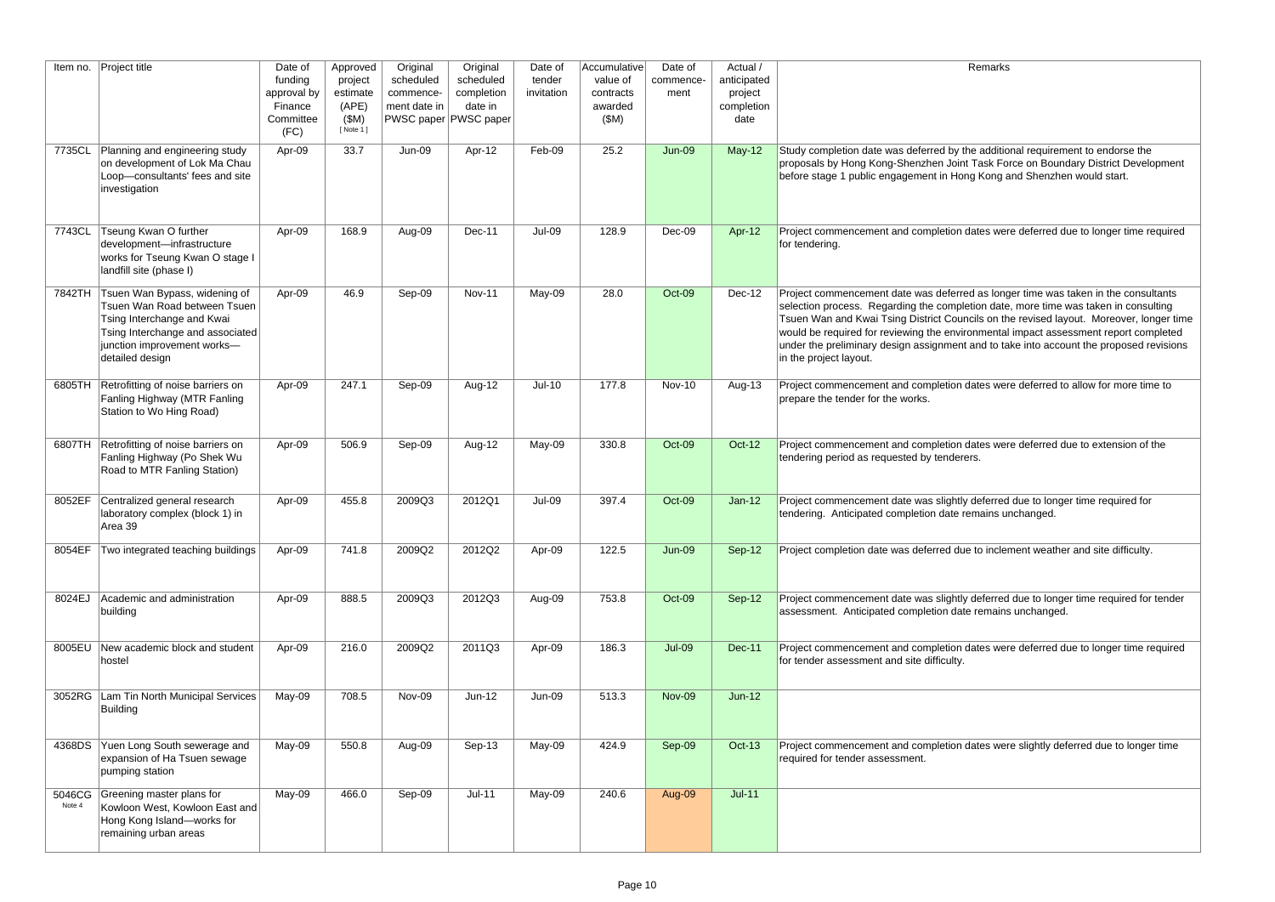$\alpha$  the additional requirement to endorse the int Task Force on Boundary District Development ong Kong and Shenzhen would start.

dates were deferred due to longer time required

rred as longer time was taken in the consultants oletion date, more time was taken in consulting uncils on the revised layout. Moreover, longer time vironmental impact assessment report completed nt and to take into account the proposed revisions

I dates were deferred to allow for more time to

1 dates were deferred due to extension of the

tly deferred due to longer time required for temains unchanged.

Iue to inclement weather and site difficulty.

tly deferred due to longer time required for tender ate remains unchanged.

1 dates were deferred due to longer time required

dates were slightly deferred due to longer time

| Item no.         | <b>Project title</b>                                                                                                                                                              | Date of<br>funding<br>approval by<br>Finance<br>Committee<br>(FC) | Approved<br>project<br>estimate<br>(APE)<br>(SM)<br>[ Note 1 ] | Original<br>scheduled<br>commence-<br>ment date in | Original<br>scheduled<br>completion<br>date in<br>PWSC paper PWSC paper | Date of<br>tender<br>invitation | Accumulative<br>value of<br>contracts<br>awarded<br>(SM) | Date of<br>commence-<br>ment | Actual /<br>anticipated<br>project<br>completion<br>date | Re                                                                                                                                                                                                                                                          |
|------------------|-----------------------------------------------------------------------------------------------------------------------------------------------------------------------------------|-------------------------------------------------------------------|----------------------------------------------------------------|----------------------------------------------------|-------------------------------------------------------------------------|---------------------------------|----------------------------------------------------------|------------------------------|----------------------------------------------------------|-------------------------------------------------------------------------------------------------------------------------------------------------------------------------------------------------------------------------------------------------------------|
| 7735CL           | Planning and engineering study<br>on development of Lok Ma Chau<br>Loop-consultants' fees and site<br>investigation                                                               | Apr-09                                                            | 33.7                                                           | <b>Jun-09</b>                                      | Apr-12                                                                  | Feb-09                          | 25.2                                                     | <b>Jun-09</b>                | $May-12$                                                 | Study completion date was deferred by the<br>proposals by Hong Kong-Shenzhen Joint Ta<br>before stage 1 public engagement in Hong I                                                                                                                         |
| 7743CL           | Tseung Kwan O further<br>development-infrastructure<br>works for Tseung Kwan O stage I<br>landfill site (phase I)                                                                 | Apr-09                                                            | 168.9                                                          | Aug-09                                             | Dec-11                                                                  | Jul-09                          | 128.9                                                    | Dec-09                       | Apr-12                                                   | Project commencement and completion dat<br>for tendering.                                                                                                                                                                                                   |
| 7842TH           | Tsuen Wan Bypass, widening of<br>Tsuen Wan Road between Tsuen<br>Tsing Interchange and Kwai<br>Tsing Interchange and associated<br>junction improvement works-<br>detailed design | Apr-09                                                            | 46.9                                                           | Sep-09                                             | <b>Nov-11</b>                                                           | May-09                          | 28.0                                                     | Oct-09                       | Dec-12                                                   | Project commencement date was deferred a<br>selection process. Regarding the completic<br>Tsuen Wan and Kwai Tsing District Council:<br>would be required for reviewing the environ<br>under the preliminary design assignment an<br>in the project layout. |
| 6805TH           | Retrofitting of noise barriers on<br>Fanling Highway (MTR Fanling<br>Station to Wo Hing Road)                                                                                     | Apr-09                                                            | 247.1                                                          | Sep-09                                             | Aug-12                                                                  | $Jul-10$                        | 177.8                                                    | Nov-10                       | Aug-13                                                   | Project commencement and completion dat<br>prepare the tender for the works.                                                                                                                                                                                |
| 6807TH           | Retrofitting of noise barriers on<br>Fanling Highway (Po Shek Wu<br>Road to MTR Fanling Station)                                                                                  | Apr-09                                                            | 506.9                                                          | Sep-09                                             | Aug-12                                                                  | May-09                          | 330.8                                                    | Oct-09                       | <b>Oct-12</b>                                            | Project commencement and completion dat<br>tendering period as requested by tenderers.                                                                                                                                                                      |
| 8052EF           | Centralized general research<br>laboratory complex (block 1) in<br>Area 39                                                                                                        | Apr-09                                                            | 455.8                                                          | 2009Q3                                             | 2012Q1                                                                  | Jul-09                          | 397.4                                                    | Oct-09                       | $Jan-12$                                                 | Project commencement date was slightly de<br>tendering. Anticipated completion date rem                                                                                                                                                                     |
| 8054EF           | Two integrated teaching buildings                                                                                                                                                 | Apr-09                                                            | 741.8                                                          | 2009Q2                                             | 2012Q2                                                                  | Apr-09                          | 122.5                                                    | <b>Jun-09</b>                | Sep-12                                                   | Project completion date was deferred due to                                                                                                                                                                                                                 |
| 8024EJ           | Academic and administration<br>building                                                                                                                                           | Apr-09                                                            | 888.5                                                          | 2009Q3                                             | 2012Q3                                                                  | Aug-09                          | 753.8                                                    | Oct-09                       | Sep-12                                                   | Project commencement date was slightly de<br>assessment. Anticipated completion date re                                                                                                                                                                     |
| 8005EU           | New academic block and student<br>hostel                                                                                                                                          | Apr-09                                                            | 216.0                                                          | 2009Q2                                             | 2011Q3                                                                  | Apr-09                          | 186.3                                                    | <b>Jul-09</b>                | <b>Dec-11</b>                                            | Project commencement and completion dat<br>for tender assessment and site difficulty.                                                                                                                                                                       |
| 3052RG           | Lam Tin North Municipal Services<br>Building                                                                                                                                      | May-09                                                            | 708.5                                                          | Nov-09                                             | $Jun-12$                                                                | <b>Jun-09</b>                   | 513.3                                                    | <b>Nov-09</b>                | $Jun-12$                                                 |                                                                                                                                                                                                                                                             |
| 4368DS           | Yuen Long South sewerage and<br>expansion of Ha Tsuen sewage<br>pumping station                                                                                                   | May-09                                                            | 550.8                                                          | Aug-09                                             | Sep-13                                                                  | May-09                          | 424.9                                                    | Sep-09                       | <b>Oct-13</b>                                            | Project commencement and completion dat<br>required for tender assessment.                                                                                                                                                                                  |
| 5046CG<br>Note 4 | Greening master plans for<br>Kowloon West, Kowloon East and<br>Hong Kong Island-works for<br>remaining urban areas                                                                | May-09                                                            | 466.0                                                          | Sep-09                                             | $Jul-11$                                                                | May-09                          | 240.6                                                    | Aug-09                       | $Jul-11$                                                 |                                                                                                                                                                                                                                                             |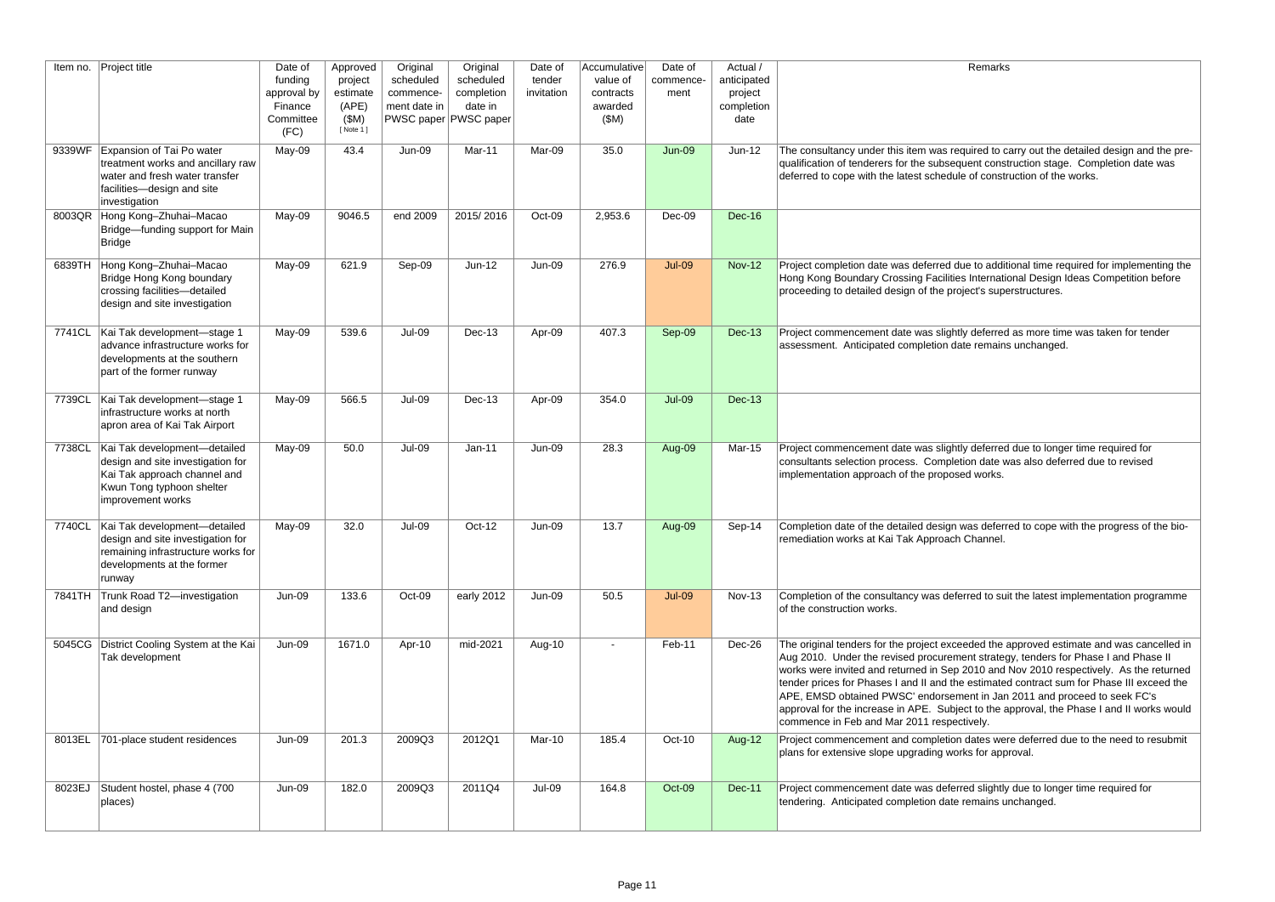| Remarks |
|---------|
|---------|

equired to carry out the detailed design and the prequent construction stage. Completion date was le of construction of the works.

Jue to additional time required for implementing the es International Design Ideas Competition before pject's superstructures.

tly deferred as more time was taken for tender ate remains unchanged.

tly deferred due to longer time required for tion date was also deferred due to revised ed works.

was deferred to cope with the progress of the bion Channel.

erred to suit the latest implementation programme

eeded the approved estimate and was cancelled in nent strategy, tenders for Phase I and Phase II 2010 and Nov 2010 respectively. As the returned e estimated contract sum for Phase III exceed the nent in Jan 2011 and proceed to seek FC's ect to the approval, the Phase I and II works would ctively.

dates were deferred due to the need to resubmit rks for approval.

rred slightly due to longer time required for remains unchanged.

| Item no. | Project title                                                                                                                                       | Date of<br>funding<br>approval by<br>Finance<br>Committee<br>(FC) | Approved<br>project<br>estimate<br>(APE)<br>(SM)<br>[ Note 1 ] | Original<br>scheduled<br>commence-<br>ment date in | Original<br>scheduled<br>completion<br>date in<br>PWSC paper PWSC paper | Date of<br>tender<br>invitation | Accumulative<br>value of<br>contracts<br>awarded<br>(SM) | Date of<br>commence-<br>ment | Actual /<br>anticipated<br>project<br>completion<br>date |                                                                                                                                                                                                                                                                                                 |
|----------|-----------------------------------------------------------------------------------------------------------------------------------------------------|-------------------------------------------------------------------|----------------------------------------------------------------|----------------------------------------------------|-------------------------------------------------------------------------|---------------------------------|----------------------------------------------------------|------------------------------|----------------------------------------------------------|-------------------------------------------------------------------------------------------------------------------------------------------------------------------------------------------------------------------------------------------------------------------------------------------------|
| 9339WF   | Expansion of Tai Po water<br>treatment works and ancillary raw<br>water and fresh water transfer<br>facilities-design and site<br>investigation     | May-09                                                            | 43.4                                                           | <b>Jun-09</b>                                      | Mar-11                                                                  | Mar-09                          | 35.0                                                     | <b>Jun-09</b>                | $Jun-12$                                                 | The consultancy under this item was re<br>qualification of tenderers for the subseq<br>deferred to cope with the latest schedul                                                                                                                                                                 |
| 8003QR   | Hong Kong-Zhuhai-Macao<br>Bridge-funding support for Main<br><b>Bridge</b>                                                                          | May-09                                                            | 9046.5                                                         | end 2009                                           | 2015/2016                                                               | Oct-09                          | 2,953.6                                                  | Dec-09                       | <b>Dec-16</b>                                            |                                                                                                                                                                                                                                                                                                 |
| 6839TH   | Hong Kong-Zhuhai-Macao<br>Bridge Hong Kong boundary<br>crossing facilities-detailed<br>design and site investigation                                | May-09                                                            | 621.9                                                          | Sep-09                                             | $Jun-12$                                                                | <b>Jun-09</b>                   | 276.9                                                    | <b>Jul-09</b>                | <b>Nov-12</b>                                            | Project completion date was deferred di<br>Hong Kong Boundary Crossing Facilitie<br>proceeding to detailed design of the pro                                                                                                                                                                    |
| 7741CL   | Kai Tak development-stage 1<br>advance infrastructure works for<br>developments at the southern<br>part of the former runway                        | May-09                                                            | 539.6                                                          | <b>Jul-09</b>                                      | Dec-13                                                                  | Apr-09                          | 407.3                                                    | Sep-09                       | <b>Dec-13</b>                                            | Project commencement date was slight<br>assessment. Anticipated completion da                                                                                                                                                                                                                   |
| 7739CL   | Kai Tak development-stage 1<br>infrastructure works at north<br>apron area of Kai Tak Airport                                                       | May-09                                                            | 566.5                                                          | <b>Jul-09</b>                                      | Dec-13                                                                  | Apr-09                          | 354.0                                                    | <b>Jul-09</b>                | <b>Dec-13</b>                                            |                                                                                                                                                                                                                                                                                                 |
| 7738CL   | Kai Tak development-detailed<br>design and site investigation for<br>Kai Tak approach channel and<br>Kwun Tong typhoon shelter<br>improvement works | May-09                                                            | 50.0                                                           | <b>Jul-09</b>                                      | $Jan-11$                                                                | <b>Jun-09</b>                   | 28.3                                                     | Aug-09                       | <b>Mar-15</b>                                            | Project commencement date was slight<br>consultants selection process. Complet<br>implementation approach of the propos                                                                                                                                                                         |
| 7740CL   | Kai Tak development-detailed<br>design and site investigation for<br>remaining infrastructure works for<br>developments at the former<br>runway     | May-09                                                            | 32.0                                                           | Jul-09                                             | Oct-12                                                                  | Jun-09                          | 13.7                                                     | Aug-09                       | Sep-14                                                   | Completion date of the detailed design<br>remediation works at Kai Tak Approach                                                                                                                                                                                                                 |
| 7841TH   | Trunk Road T2-investigation<br>and design                                                                                                           | Jun-09                                                            | 133.6                                                          | Oct-09                                             | early 2012                                                              | <b>Jun-09</b>                   | 50.5                                                     | <b>Jul-09</b>                | <b>Nov-13</b>                                            | Completion of the consultancy was defe<br>of the construction works.                                                                                                                                                                                                                            |
| 5045CG   | District Cooling System at the Kai<br>Tak development                                                                                               | Jun-09                                                            | 1671.0                                                         | Apr-10                                             | mid-2021                                                                | Aug-10                          | $\overline{\phantom{a}}$                                 | Feb-11                       | Dec-26                                                   | The original tenders for the project exce<br>Aug 2010. Under the revised procurem<br>works were invited and returned in Sep<br>tender prices for Phases I and II and the<br>APE, EMSD obtained PWSC' endorsen<br>approval for the increase in APE. Subje<br>commence in Feb and Mar 2011 respeo |
| 8013EL   | 701-place student residences                                                                                                                        | <b>Jun-09</b>                                                     | 201.3                                                          | 2009Q3                                             | 2012Q1                                                                  | Mar-10                          | 185.4                                                    | Oct-10                       | Aug-12                                                   | Project commencement and completion<br>plans for extensive slope upgrading wor                                                                                                                                                                                                                  |
| 8023EJ   | Student hostel, phase 4 (700)<br>places)                                                                                                            | Jun-09                                                            | 182.0                                                          | 2009Q3                                             | 2011Q4                                                                  | Jul-09                          | 164.8                                                    | Oct-09                       | <b>Dec-11</b>                                            | Project commencement date was defer<br>tendering. Anticipated completion date                                                                                                                                                                                                                   |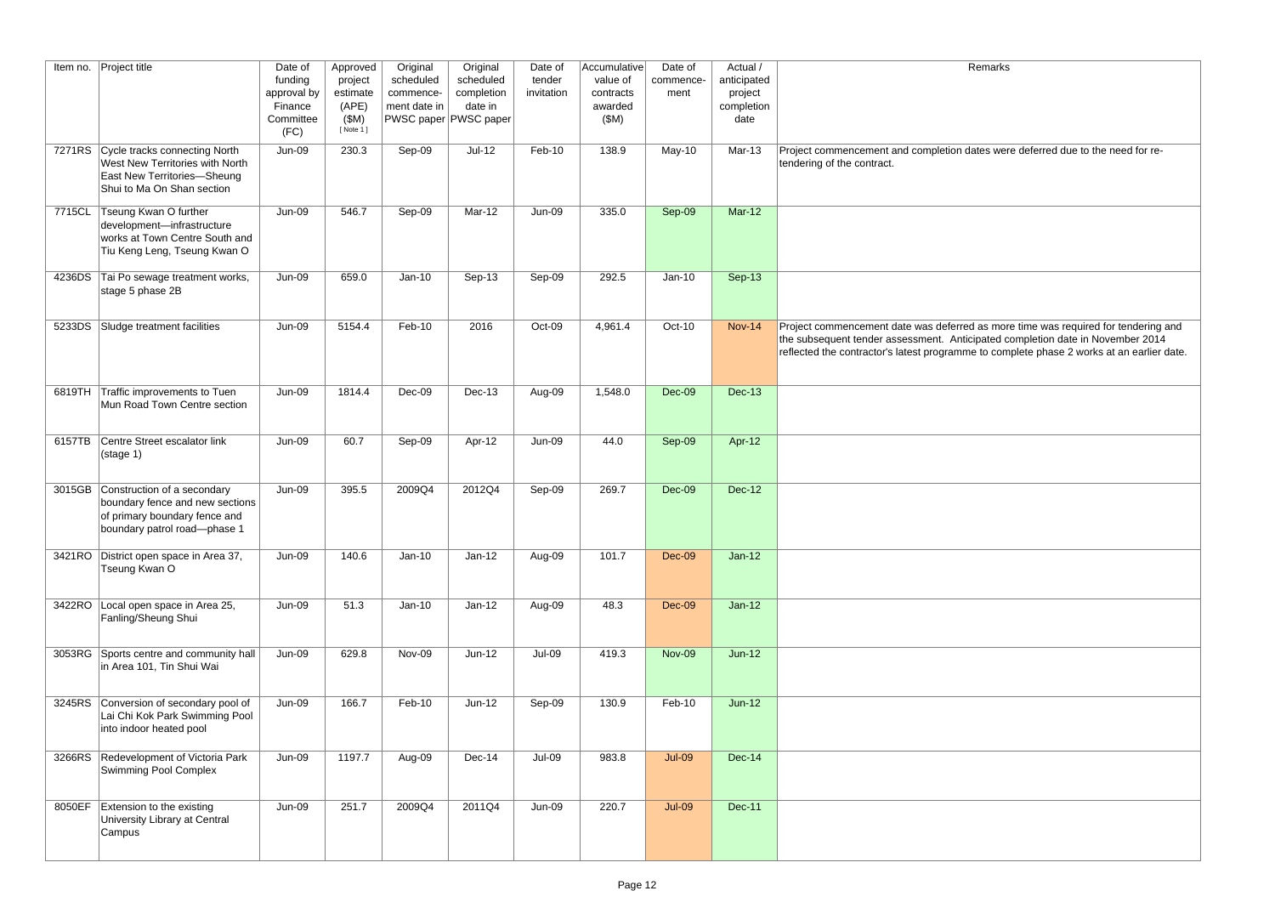| Remarks |
|---------|
|---------|

1 dates were deferred due to the need for re-

Finaldities and the supersonstant facilities and the data more time was required for tendering and the subsequent tender as served containing anticipated completion date in November 2014 nme to complete phase 2 works at an earlier date.

| Item no. | Project title                                                                                                                        | Date of<br>funding<br>approval by<br>Finance<br>Committee<br>(FC) | Approved<br>project<br>estimate<br>(APE)<br>(SM)<br>[ Note 1 ] | Original<br>scheduled<br>commence-<br>ment date in | Original<br>scheduled<br>completion<br>date in<br>PWSC paper PWSC paper | Date of<br>tender<br>invitation | Accumulative<br>value of<br>contracts<br>awarded<br>(SM) | Date of<br>commence-<br>ment | Actual /<br>anticipated<br>project<br>completion<br>date |                                                                                                                          |
|----------|--------------------------------------------------------------------------------------------------------------------------------------|-------------------------------------------------------------------|----------------------------------------------------------------|----------------------------------------------------|-------------------------------------------------------------------------|---------------------------------|----------------------------------------------------------|------------------------------|----------------------------------------------------------|--------------------------------------------------------------------------------------------------------------------------|
| 7271RS   | Cycle tracks connecting North<br>West New Territories with North<br><b>East New Territories-Sheung</b><br>Shui to Ma On Shan section | <b>Jun-09</b>                                                     | 230.3                                                          | Sep-09                                             | $Jul-12$                                                                | Feb-10                          | 138.9                                                    | May-10                       | Mar-13                                                   | Project commencement and completion<br>tendering of the contract.                                                        |
| 7715CL   | Tseung Kwan O further<br>development-infrastructure<br>works at Town Centre South and<br>Tiu Keng Leng, Tseung Kwan O                | <b>Jun-09</b>                                                     | 546.7                                                          | Sep-09                                             | Mar-12                                                                  | <b>Jun-09</b>                   | 335.0                                                    | Sep-09                       | <b>Mar-12</b>                                            |                                                                                                                          |
| 4236DS   | Tai Po sewage treatment works,<br>stage 5 phase 2B                                                                                   | <b>Jun-09</b>                                                     | 659.0                                                          | $Jan-10$                                           | Sep-13                                                                  | Sep-09                          | 292.5                                                    | $Jan-10$                     | Sep-13                                                   |                                                                                                                          |
| 5233DS   | Sludge treatment facilities                                                                                                          | <b>Jun-09</b>                                                     | 5154.4                                                         | Feb-10                                             | 2016                                                                    | Oct-09                          | 4,961.4                                                  | Oct-10                       | <b>Nov-14</b>                                            | Project commencement date was defer<br>the subsequent tender assessment. Ar<br>reflected the contractor's latest program |
| 6819TH   | Traffic improvements to Tuen<br>Mun Road Town Centre section                                                                         | <b>Jun-09</b>                                                     | 1814.4                                                         | Dec-09                                             | <b>Dec-13</b>                                                           | Aug-09                          | 1,548.0                                                  | $Dec-09$                     | <b>Dec-13</b>                                            |                                                                                                                          |
| 6157TB   | Centre Street escalator link<br>(stage 1)                                                                                            | <b>Jun-09</b>                                                     | 60.7                                                           | Sep-09                                             | Apr-12                                                                  | <b>Jun-09</b>                   | 44.0                                                     | Sep-09                       | Apr-12                                                   |                                                                                                                          |
| 3015GB   | Construction of a secondary<br>boundary fence and new sections<br>of primary boundary fence and<br>boundary patrol road-phase 1      | <b>Jun-09</b>                                                     | 395.5                                                          | 2009Q4                                             | 2012Q4                                                                  | Sep-09                          | 269.7                                                    | $Dec-09$                     | <b>Dec-12</b>                                            |                                                                                                                          |
| 3421RO   | District open space in Area 37,<br>Tseung Kwan O                                                                                     | <b>Jun-09</b>                                                     | 140.6                                                          | $Jan-10$                                           | $Jan-12$                                                                | Aug-09                          | 101.7                                                    | $Dec-09$                     | $Jan-12$                                                 |                                                                                                                          |
| 3422RO   | Local open space in Area 25,<br>Fanling/Sheung Shui                                                                                  | <b>Jun-09</b>                                                     | 51.3                                                           | $Jan-10$                                           | $Jan-12$                                                                | Aug-09                          | 48.3                                                     | $Dec-09$                     | $Jan-12$                                                 |                                                                                                                          |
|          | 3053RG Sports centre and community hall<br>in Area 101, Tin Shui Wai                                                                 | <b>Jun-09</b>                                                     | 629.8                                                          | Nov-09                                             | Jun-12                                                                  | Jul-09                          | 419.3                                                    | <b>Nov-09</b>                | $Jun-12$                                                 |                                                                                                                          |
| 3245RS   | Conversion of secondary pool of<br>Lai Chi Kok Park Swimming Pool<br>into indoor heated pool                                         | <b>Jun-09</b>                                                     | 166.7                                                          | Feb-10                                             | $Jun-12$                                                                | $Sep-09$                        | 130.9                                                    | Feb-10                       | $Jun-12$                                                 |                                                                                                                          |
| 3266RS   | Redevelopment of Victoria Park<br>Swimming Pool Complex                                                                              | <b>Jun-09</b>                                                     | 1197.7                                                         | Aug-09                                             | Dec-14                                                                  | Jul-09                          | 983.8                                                    | <b>Jul-09</b>                | <b>Dec-14</b>                                            |                                                                                                                          |
| 8050EF   | Extension to the existing<br>University Library at Central<br>Campus                                                                 | <b>Jun-09</b>                                                     | 251.7                                                          | 2009Q4                                             | 2011Q4                                                                  | <b>Jun-09</b>                   | 220.7                                                    | <b>Jul-09</b>                | <b>Dec-11</b>                                            |                                                                                                                          |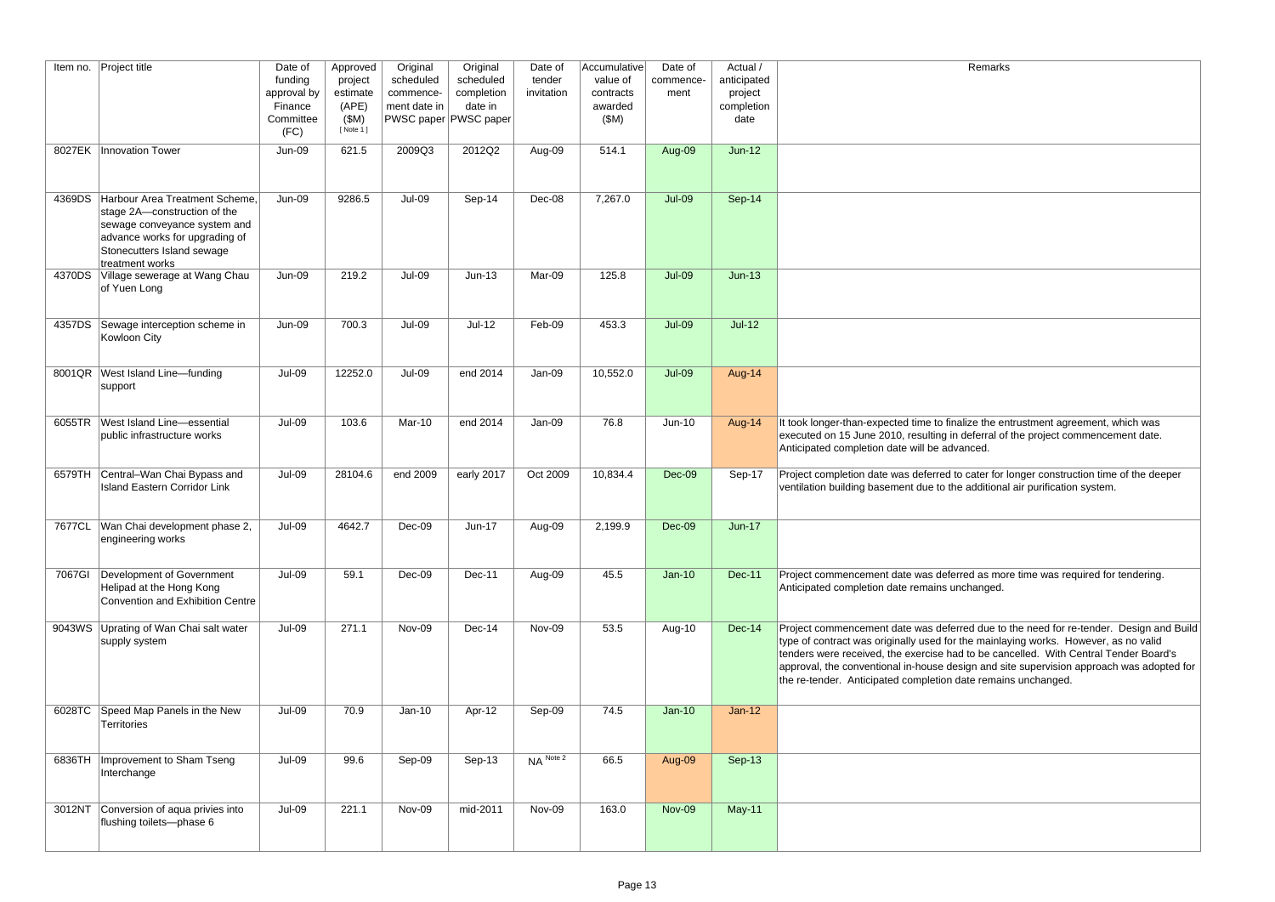| Item no. | <b>Project title</b>                                                                                                                                                                     | Date of<br>funding<br>approval by<br>Finance<br>Committee<br>(FC) | Approved<br>project<br>estimate<br>(APE)<br>(SM)<br>[ Note 1 ] | Original<br>scheduled<br>commence-<br>ment date in | Original<br>scheduled<br>completion<br>date in<br>PWSC paper PWSC paper | Date of<br>tender<br>invitation | Accumulative<br>value of<br>contracts<br>awarded<br>(SM) | Date of<br>commence-<br>ment | Actual /<br>anticipated<br>project<br>completion<br>date | Remarks                                                                                                                                                                                                                                                                                                                                                                                                                            |
|----------|------------------------------------------------------------------------------------------------------------------------------------------------------------------------------------------|-------------------------------------------------------------------|----------------------------------------------------------------|----------------------------------------------------|-------------------------------------------------------------------------|---------------------------------|----------------------------------------------------------|------------------------------|----------------------------------------------------------|------------------------------------------------------------------------------------------------------------------------------------------------------------------------------------------------------------------------------------------------------------------------------------------------------------------------------------------------------------------------------------------------------------------------------------|
|          | 8027EK   Innovation Tower                                                                                                                                                                | <b>Jun-09</b>                                                     | 621.5                                                          | 2009Q3                                             | 2012Q2                                                                  | Aug-09                          | 514.1                                                    | Aug-09                       | $Jun-12$                                                 |                                                                                                                                                                                                                                                                                                                                                                                                                                    |
|          | 4369DS Harbour Area Treatment Scheme.<br>stage 2A-construction of the<br>sewage conveyance system and<br>advance works for upgrading of<br>Stonecutters Island sewage<br>treatment works | <b>Jun-09</b>                                                     | 9286.5                                                         | <b>Jul-09</b>                                      | Sep-14                                                                  | Dec-08                          | 7,267.0                                                  | <b>Jul-09</b>                | Sep-14                                                   |                                                                                                                                                                                                                                                                                                                                                                                                                                    |
|          | 4370DS Village sewerage at Wang Chau<br>of Yuen Long                                                                                                                                     | <b>Jun-09</b>                                                     | 219.2                                                          | <b>Jul-09</b>                                      | $Jun-13$                                                                | Mar-09                          | 125.8                                                    | <b>Jul-09</b>                | $Jun-13$                                                 |                                                                                                                                                                                                                                                                                                                                                                                                                                    |
| 4357DS   | Sewage interception scheme in<br>Kowloon City                                                                                                                                            | <b>Jun-09</b>                                                     | 700.3                                                          | <b>Jul-09</b>                                      | $Jul-12$                                                                | Feb-09                          | 453.3                                                    | <b>Jul-09</b>                | $Jul-12$                                                 |                                                                                                                                                                                                                                                                                                                                                                                                                                    |
|          | 8001QR   West Island Line-funding<br>support                                                                                                                                             | Jul-09                                                            | 12252.0                                                        | <b>Jul-09</b>                                      | end 2014                                                                | Jan-09                          | 10,552.0                                                 | <b>Jul-09</b>                | Aug-14                                                   |                                                                                                                                                                                                                                                                                                                                                                                                                                    |
|          | 6055TR West Island Line-essential<br>public infrastructure works                                                                                                                         | Jul-09                                                            | 103.6                                                          | Mar-10                                             | end 2014                                                                | Jan-09                          | 76.8                                                     | Jun-10                       | Aug-14                                                   | It took longer-than-expected time to finalize the entrustment agreement, which was<br>executed on 15 June 2010, resulting in deferral of the project commencement date.<br>Anticipated completion date will be advanced.                                                                                                                                                                                                           |
|          | 6579TH Central-Wan Chai Bypass and<br><b>Island Eastern Corridor Link</b>                                                                                                                | Jul-09                                                            | 28104.6                                                        | end 2009                                           | early 2017                                                              | Oct 2009                        | 10,834.4                                                 | Dec-09                       | Sep-17                                                   | Project completion date was deferred to cater for longer construction time of the deeper<br>ventilation building basement due to the additional air purification system.                                                                                                                                                                                                                                                           |
|          | 7677CL   Wan Chai development phase 2,<br>engineering works                                                                                                                              | <b>Jul-09</b>                                                     | 4642.7                                                         | Dec-09                                             | Jun-17                                                                  | Aug-09                          | 2,199.9                                                  | Dec-09                       | $Jun-17$                                                 |                                                                                                                                                                                                                                                                                                                                                                                                                                    |
| 7067GI   | Development of Government<br>Helipad at the Hong Kong<br>Convention and Exhibition Centre                                                                                                | $Jul-09$                                                          | 59.1                                                           | Dec-09                                             | Dec-11                                                                  | Aug-09                          | 45.5                                                     | $Jan-10$                     | <b>Dec-11</b>                                            | Project commencement date was deferred as more time was required for tendering.<br>Anticipated completion date remains unchanged.                                                                                                                                                                                                                                                                                                  |
|          | 9043WS Uprating of Wan Chai salt water<br>supply system                                                                                                                                  | Jul-09                                                            | 271.1                                                          | Nov-09                                             | $Dec-14$                                                                | Nov-09                          | 53.5                                                     | Aug-10                       | Dec-14                                                   | Project commencement date was deferred due to the need for re-tender. Design and Build<br>type of contract was originally used for the mainlaying works. However, as no valid<br>tenders were received, the exercise had to be cancelled. With Central Tender Board's<br>approval, the conventional in-house design and site supervision approach was adopted for<br>the re-tender. Anticipated completion date remains unchanged. |
|          | 6028TC Speed Map Panels in the New<br>Territories                                                                                                                                        | Jul-09                                                            | 70.9                                                           | $Jan-10$                                           | Apr-12                                                                  | Sep-09                          | 74.5                                                     | $Jan-10$                     | $Jan-12$                                                 |                                                                                                                                                                                                                                                                                                                                                                                                                                    |
|          | 6836TH   Improvement to Sham Tseng<br>Interchange                                                                                                                                        | Jul-09                                                            | 99.6                                                           | Sep-09                                             | Sep-13                                                                  | $NA$ <sup>Note 2</sup>          | 66.5                                                     | Aug-09                       | Sep-13                                                   |                                                                                                                                                                                                                                                                                                                                                                                                                                    |
|          | 3012NT Conversion of aqua privies into<br>flushing toilets--phase 6                                                                                                                      | Jul-09                                                            | 221.1                                                          | Nov-09                                             | mid-2011                                                                | Nov-09                          | 163.0                                                    | <b>Nov-09</b>                | May-11                                                   |                                                                                                                                                                                                                                                                                                                                                                                                                                    |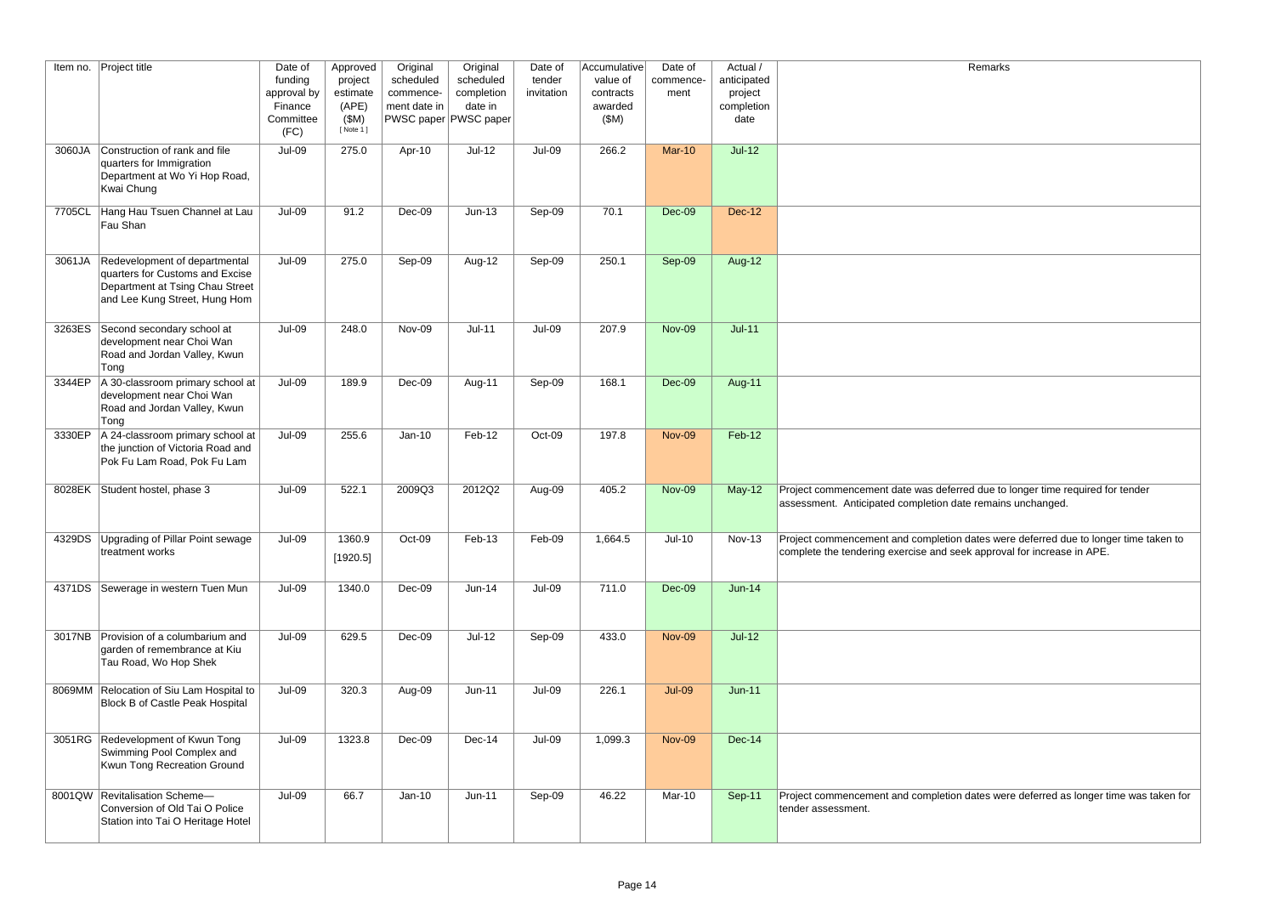| Remarks                                          |
|--------------------------------------------------|
|                                                  |
|                                                  |
|                                                  |
|                                                  |
|                                                  |
|                                                  |
|                                                  |
|                                                  |
|                                                  |
|                                                  |
|                                                  |
|                                                  |
|                                                  |
|                                                  |
|                                                  |
|                                                  |
|                                                  |
|                                                  |
|                                                  |
|                                                  |
|                                                  |
|                                                  |
|                                                  |
|                                                  |
|                                                  |
|                                                  |
| red due to longer time required for tender       |
| ate remains unchanged.                           |
|                                                  |
| dates were deferred due to longer time taken to  |
| ek approval for increase in APE.                 |
|                                                  |
|                                                  |
|                                                  |
|                                                  |
|                                                  |
|                                                  |
|                                                  |
|                                                  |
|                                                  |
|                                                  |
|                                                  |
|                                                  |
|                                                  |
|                                                  |
|                                                  |
| dates were deferred as longer time was taken for |
|                                                  |
|                                                  |
|                                                  |

|        | Item no. Project title                                                                                                               | Date of<br>funding<br>approval by<br>Finance<br>Committee<br>(FC) | Approved<br>project<br>estimate<br>(APE)<br>(SM)<br>[ Note 1 ] | Original<br>scheduled<br>commence-<br>ment date in | Original<br>scheduled<br>completion<br>date in<br>PWSC paper PWSC paper | Date of<br>tender<br>invitation | Accumulative<br>value of<br>contracts<br>awarded<br>(SM) | Date of<br>commence-<br>ment | Actual /<br>anticipated<br>project<br>completion<br>date | Remarks                                                                                                                                                              |
|--------|--------------------------------------------------------------------------------------------------------------------------------------|-------------------------------------------------------------------|----------------------------------------------------------------|----------------------------------------------------|-------------------------------------------------------------------------|---------------------------------|----------------------------------------------------------|------------------------------|----------------------------------------------------------|----------------------------------------------------------------------------------------------------------------------------------------------------------------------|
| 3060JA | Construction of rank and file<br>quarters for Immigration<br>Department at Wo Yi Hop Road,<br>Kwai Chung                             | Jul-09                                                            | 275.0                                                          | Apr-10                                             | $Jul-12$                                                                | Jul-09                          | 266.2                                                    | <b>Mar-10</b>                | $Jul-12$                                                 |                                                                                                                                                                      |
| 7705CL | Hang Hau Tsuen Channel at Lau<br>Fau Shan                                                                                            | Jul-09                                                            | 91.2                                                           | Dec-09                                             | $Jun-13$                                                                | Sep-09                          | 70.1                                                     | Dec-09                       | <b>Dec-12</b>                                            |                                                                                                                                                                      |
| 3061JA | Redevelopment of departmental<br>quarters for Customs and Excise<br>Department at Tsing Chau Street<br>and Lee Kung Street, Hung Hom | <b>Jul-09</b>                                                     | 275.0                                                          | Sep-09                                             | Aug-12                                                                  | Sep-09                          | 250.1                                                    | Sep-09                       | <b>Aug-12</b>                                            |                                                                                                                                                                      |
| 3263ES | Second secondary school at<br>development near Choi Wan<br>Road and Jordan Valley, Kwun<br>Tong                                      | <b>Jul-09</b>                                                     | 248.0                                                          | Nov-09                                             | $Jul-11$                                                                | <b>Jul-09</b>                   | 207.9                                                    | <b>Nov-09</b>                | $Jul-11$                                                 |                                                                                                                                                                      |
| 3344EP | A 30-classroom primary school at<br>development near Choi Wan<br>Road and Jordan Valley, Kwun<br>Tong                                | Jul-09                                                            | 189.9                                                          | Dec-09                                             | Aug-11                                                                  | Sep-09                          | 168.1                                                    | Dec-09                       | Aug-11                                                   |                                                                                                                                                                      |
| 3330EP | A 24-classroom primary school at<br>the junction of Victoria Road and<br>Pok Fu Lam Road, Pok Fu Lam                                 | Jul-09                                                            | 255.6                                                          | $Jan-10$                                           | Feb-12                                                                  | Oct-09                          | 197.8                                                    | <b>Nov-09</b>                | Feb-12                                                   |                                                                                                                                                                      |
|        | 8028EK Student hostel, phase 3                                                                                                       | Jul-09                                                            | 522.1                                                          | 2009Q3                                             | 2012Q2                                                                  | Aug-09                          | 405.2                                                    | <b>Nov-09</b>                | $May-12$                                                 | Project commencement date was deferred due to longer time required for tender<br>assessment. Anticipated completion date remains unchanged.                          |
|        | 4329DS Upgrading of Pillar Point sewage<br>treatment works                                                                           | $Jul-09$                                                          | 1360.9<br>[1920.5]                                             | Oct-09                                             | $Feb-13$                                                                | Feb-09                          | 1,664.5                                                  | $Jul-10$                     |                                                          | Nov-13 Project commencement and completion dates were deferred due to longer time taken to<br>complete the tendering exercise and seek approval for increase in APE. |
|        | 4371DS Sewerage in western Tuen Mun                                                                                                  | <b>Jul-09</b>                                                     | 1340.0                                                         | Dec-09                                             | Jun-14                                                                  | <b>Jul-09</b>                   | 711.0                                                    | Dec-09                       | $Jun-14$                                                 |                                                                                                                                                                      |
|        | 3017NB Provision of a columbarium and<br>garden of remembrance at Kiu<br>Tau Road, Wo Hop Shek                                       | Jul-09                                                            | 629.5                                                          | Dec-09                                             | $Jul-12$                                                                | Sep-09                          | 433.0                                                    | <b>Nov-09</b>                | $Jul-12$                                                 |                                                                                                                                                                      |
|        | 8069MM Relocation of Siu Lam Hospital to<br><b>Block B of Castle Peak Hospital</b>                                                   | Jul-09                                                            | 320.3                                                          | Aug-09                                             | $Jun-11$                                                                | <b>Jul-09</b>                   | 226.1                                                    | <b>Jul-09</b>                | $Jun-11$                                                 |                                                                                                                                                                      |
|        | 3051RG Redevelopment of Kwun Tong<br>Swimming Pool Complex and<br>Kwun Tong Recreation Ground                                        | Jul-09                                                            | 1323.8                                                         | Dec-09                                             | Dec-14                                                                  | <b>Jul-09</b>                   | 1,099.3                                                  | <b>Nov-09</b>                | <b>Dec-14</b>                                            |                                                                                                                                                                      |
|        | 8001QW Revitalisation Scheme-<br>Conversion of Old Tai O Police<br>Station into Tai O Heritage Hotel                                 | Jul-09                                                            | 66.7                                                           | $Jan-10$                                           | $Jun-11$                                                                | Sep-09                          | 46.22                                                    | Mar-10                       | Sep-11                                                   | Project commencement and completion dates were deferred as longer time was taken for<br>tender assessment.                                                           |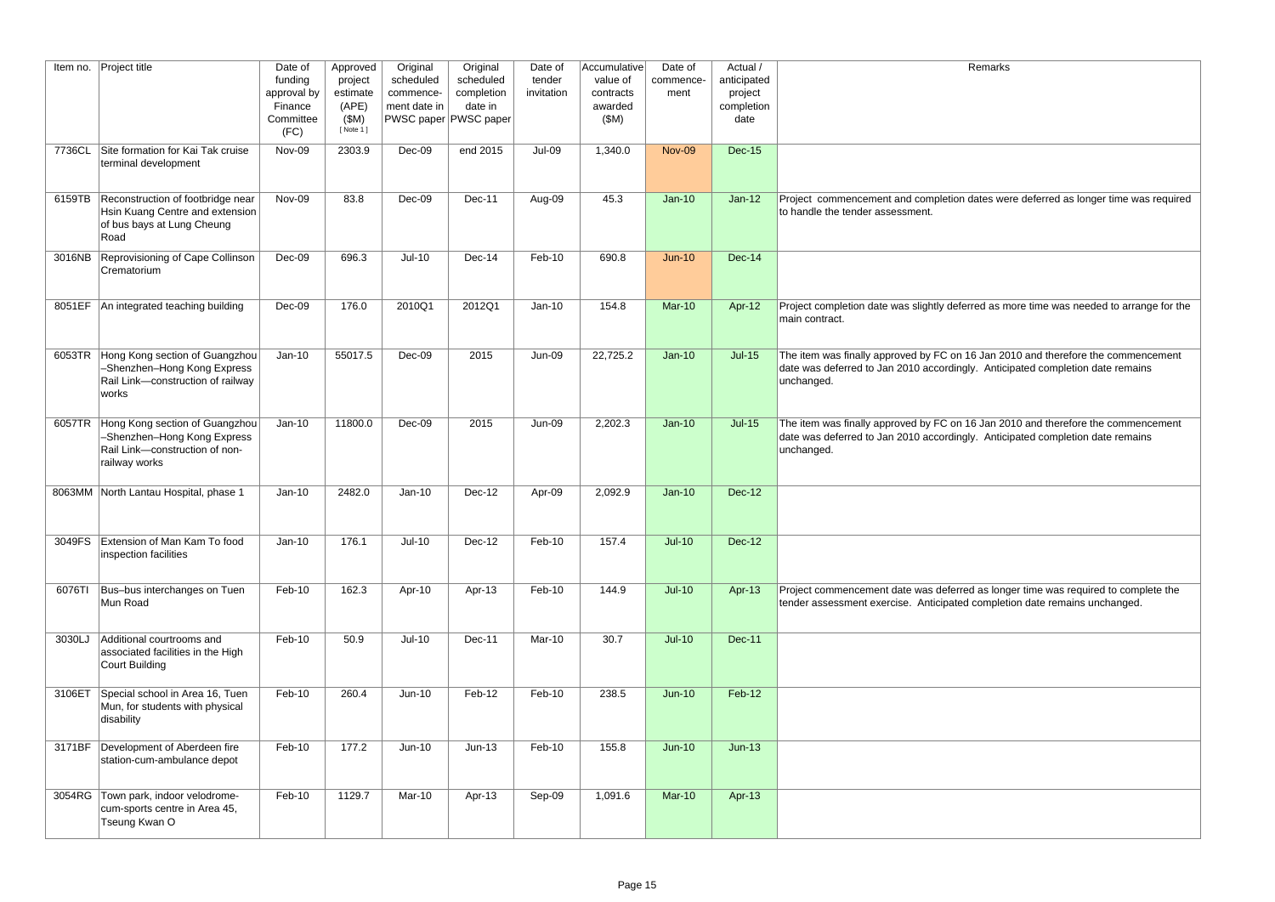In dates were deferred as longer time was required

ferred as more time was needed to arrange for the

 $\overline{0}$  16 Jan 2010 and therefore the commencement ngly. Anticipated completion date remains

n 16 Jan 2010 and therefore the commencement ngly. Anticipated completion date remains

rred as longer time was required to complete the ed completion date remains unchanged.

| Item no. | Project title                                                                                                    | Date of<br>funding<br>approval by<br>Finance<br>Committee<br>(FC) | Approved<br>project<br>estimate<br>(APE)<br>(SM)<br>[ Note 1 ] | Original<br>scheduled<br>commence-<br>ment date in | Original<br>scheduled<br>completion<br>date in<br>PWSC paper PWSC paper | Date of<br>tender<br>invitation | Accumulative<br>value of<br>contracts<br>awarded<br>(SM) | Date of<br>commence-<br>ment | Actual /<br>anticipated<br>project<br>completion<br>date |                                                                                                |
|----------|------------------------------------------------------------------------------------------------------------------|-------------------------------------------------------------------|----------------------------------------------------------------|----------------------------------------------------|-------------------------------------------------------------------------|---------------------------------|----------------------------------------------------------|------------------------------|----------------------------------------------------------|------------------------------------------------------------------------------------------------|
| 7736CL   | Site formation for Kai Tak cruise<br>terminal development                                                        | Nov-09                                                            | 2303.9                                                         | Dec-09                                             | end 2015                                                                | <b>Jul-09</b>                   | 1,340.0                                                  | <b>Nov-09</b>                | <b>Dec-15</b>                                            |                                                                                                |
| 6159TB   | Reconstruction of footbridge near<br>Hsin Kuang Centre and extension<br>of bus bays at Lung Cheung<br>Road       | Nov-09                                                            | 83.8                                                           | Dec-09                                             | Dec-11                                                                  | Aug-09                          | 45.3                                                     | $Jan-10$                     | $Jan-12$                                                 | Project commencement and completion<br>to handle the tender assessment.                        |
| 3016NB   | Reprovisioning of Cape Collinson<br>Crematorium                                                                  | Dec-09                                                            | 696.3                                                          | $Jul-10$                                           | Dec-14                                                                  | Feb-10                          | 690.8                                                    | $Jun-10$                     | <b>Dec-14</b>                                            |                                                                                                |
| 8051EF   | An integrated teaching building                                                                                  | Dec-09                                                            | 176.0                                                          | 2010Q1                                             | 2012Q1                                                                  | $Jan-10$                        | 154.8                                                    | <b>Mar-10</b>                | Apr-12                                                   | Project completion date was slightly def<br>main contract.                                     |
| 6053TR   | Hong Kong section of Guangzhou<br>-Shenzhen-Hong Kong Express<br>Rail Link-construction of railway<br>works      | $Jan-10$                                                          | 55017.5                                                        | Dec-09                                             | 2015                                                                    | Jun-09                          | 22,725.2                                                 | $Jan-10$                     | $Jul-15$                                                 | The item was finally approved by FC on<br>date was deferred to Jan 2010 accordin<br>unchanged. |
| 6057TR   | Hong Kong section of Guangzhou<br>-Shenzhen-Hong Kong Express<br>Rail Link-construction of non-<br>railway works | $Jan-10$                                                          | 11800.0                                                        | Dec-09                                             | 2015                                                                    | Jun-09                          | 2,202.3                                                  | $Jan-10$                     | $Jul-15$                                                 | The item was finally approved by FC on<br>date was deferred to Jan 2010 accordin<br>unchanged. |
|          | 8063MM North Lantau Hospital, phase 1                                                                            | $Jan-10$                                                          | 2482.0                                                         | $Jan-10$                                           | Dec-12                                                                  | Apr-09                          | 2,092.9                                                  | $Jan-10$                     | <b>Dec-12</b>                                            |                                                                                                |
| 3049FS   | Extension of Man Kam To food<br>inspection facilities                                                            | $Jan-10$                                                          | 176.1                                                          | $Jul-10$                                           | Dec-12                                                                  | Feb-10                          | 157.4                                                    | $Jul-10$                     | <b>Dec-12</b>                                            |                                                                                                |
| 6076TI   | Bus-bus interchanges on Tuen<br>Mun Road                                                                         | Feb-10                                                            | 162.3                                                          | Apr-10                                             | Apr-13                                                                  | Feb-10                          | 144.9                                                    | $Jul-10$                     | Apr-13                                                   | Project commencement date was defer<br>tender assessment exercise. Anticipate                  |
| 3030LJ   | Additional courtrooms and<br>associated facilities in the High<br>Court Building                                 | Feb-10                                                            | 50.9                                                           | $Jul-10$                                           | Dec-11                                                                  | Mar-10                          | 30.7                                                     | $Jul-10$                     | <b>Dec-11</b>                                            |                                                                                                |
| 3106ET   | Special school in Area 16, Tuen<br>Mun, for students with physical<br>disability                                 | Feb-10                                                            | 260.4                                                          | Jun-10                                             | Feb-12                                                                  | Feb-10                          | 238.5                                                    | $Jun-10$                     | Feb-12                                                   |                                                                                                |
| 3171BF   | Development of Aberdeen fire<br>station-cum-ambulance depot                                                      | Feb-10                                                            | 177.2                                                          | Jun-10                                             | $Jun-13$                                                                | Feb-10                          | 155.8                                                    | $Jun-10$                     | $Jun-13$                                                 |                                                                                                |
| 3054RG   | Town park, indoor velodrome-<br>cum-sports centre in Area 45,<br>Tseung Kwan O                                   | Feb-10                                                            | 1129.7                                                         | Mar-10                                             | Apr-13                                                                  | Sep-09                          | 1,091.6                                                  | <b>Mar-10</b>                | Apr-13                                                   |                                                                                                |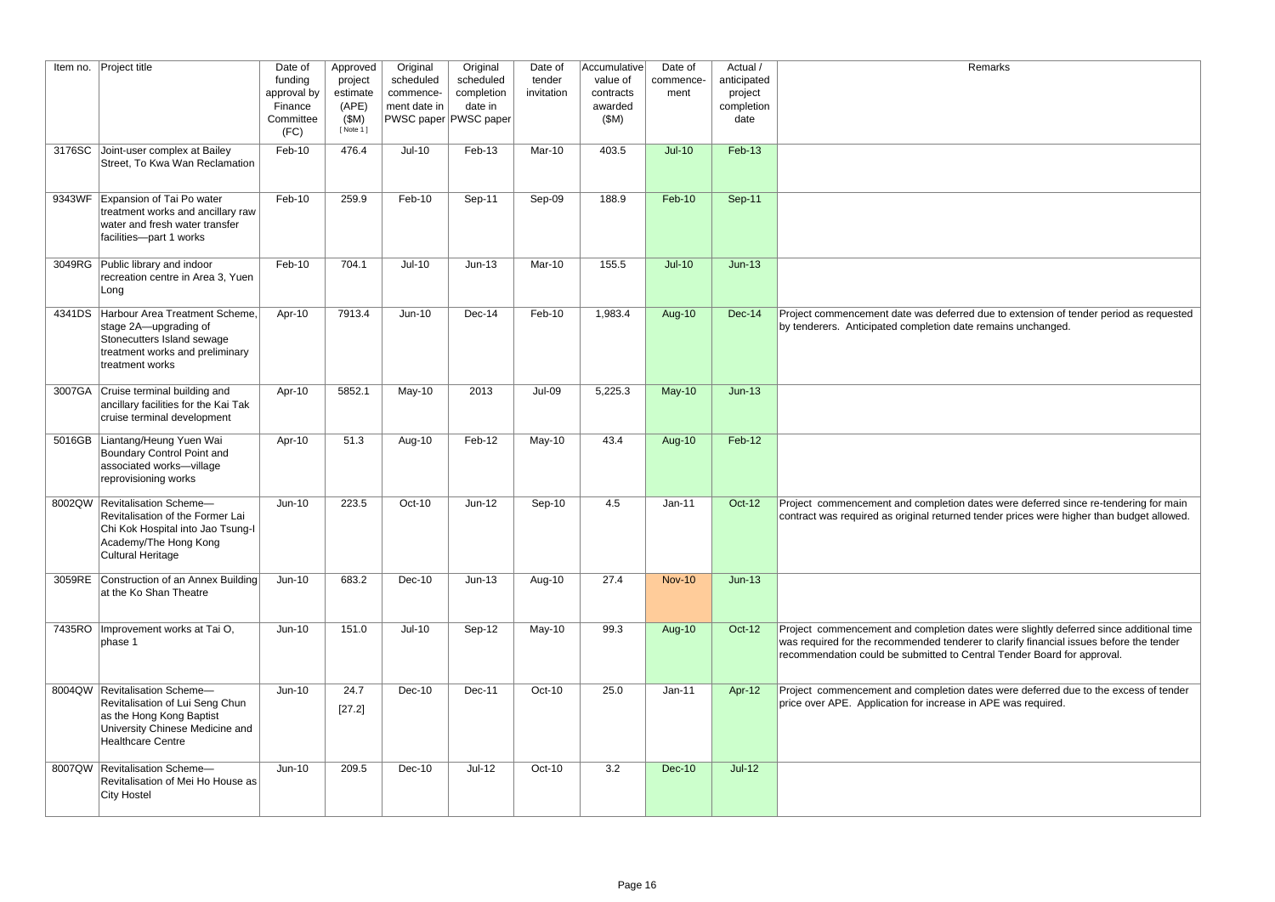| Item no. | <b>Project title</b>                                                                                                                                 | Date of<br>funding<br>approval by<br>Finance<br>Committee<br>(FC) | Approved<br>project<br>estimate<br>(APE)<br>(SM)<br>[ Note 1 ] | Original<br>scheduled<br>commence-<br>ment date in | Original<br>scheduled<br>completion<br>date in<br><b>PWSC paper PWSC paper</b> | Date of<br>tender<br>invitation | Accumulative<br>value of<br>contracts<br>awarded<br>(SM) | Date of<br>commence-<br>ment | Actual /<br>anticipated<br>project<br>completion<br>date | Remarks                                                                                                                                                                                                                                                      |
|----------|------------------------------------------------------------------------------------------------------------------------------------------------------|-------------------------------------------------------------------|----------------------------------------------------------------|----------------------------------------------------|--------------------------------------------------------------------------------|---------------------------------|----------------------------------------------------------|------------------------------|----------------------------------------------------------|--------------------------------------------------------------------------------------------------------------------------------------------------------------------------------------------------------------------------------------------------------------|
|          | 3176SC Joint-user complex at Bailey<br>Street, To Kwa Wan Reclamation                                                                                | Feb-10                                                            | 476.4                                                          | $Jul-10$                                           | Feb-13                                                                         | Mar-10                          | 403.5                                                    | $Jul-10$                     | Feb-13                                                   |                                                                                                                                                                                                                                                              |
|          | 9343WF Expansion of Tai Po water<br>treatment works and ancillary raw<br>water and fresh water transfer<br>facilities-part 1 works                   | Feb-10                                                            | 259.9                                                          | Feb-10                                             | Sep-11                                                                         | Sep-09                          | 188.9                                                    | $Feb-10$                     | <b>Sep-11</b>                                            |                                                                                                                                                                                                                                                              |
|          | 3049RG Public library and indoor<br>recreation centre in Area 3, Yuen<br>Long                                                                        | Feb-10                                                            | 704.1                                                          | $Jul-10$                                           | $Jun-13$                                                                       | Mar-10                          | 155.5                                                    | $Jul-10$                     | $Jun-13$                                                 |                                                                                                                                                                                                                                                              |
|          | 4341DS Harbour Area Treatment Scheme.<br>stage 2A-upgrading of<br>Stonecutters Island sewage<br>treatment works and preliminary<br>treatment works   | Apr-10                                                            | 7913.4                                                         | Jun-10                                             | Dec-14                                                                         | Feb-10                          | 1,983.4                                                  | <b>Aug-10</b>                | <b>Dec-14</b>                                            | Project commencement date was deferred due to extension of tender period as requested<br>by tenderers. Anticipated completion date remains unchanged.                                                                                                        |
|          | 3007GA Cruise terminal building and<br>ancillary facilities for the Kai Tak<br>cruise terminal development                                           | Apr-10                                                            | 5852.1                                                         | May-10                                             | 2013                                                                           | $Jul-09$                        | 5,225.3                                                  | $May-10$                     | $Jun-13$                                                 |                                                                                                                                                                                                                                                              |
|          | 5016GB Liantang/Heung Yuen Wai<br>Boundary Control Point and<br>associated works-village<br>reprovisioning works                                     | Apr-10                                                            | 51.3                                                           | Aug-10                                             | Feb-12                                                                         | May-10                          | 43.4                                                     | <b>Aug-10</b>                | Feb-12                                                   |                                                                                                                                                                                                                                                              |
| 8002QW   | Revitalisation Scheme-<br>Revitalisation of the Former Lai<br>Chi Kok Hospital into Jao Tsung-I<br>Academy/The Hong Kong<br>Cultural Heritage        | Jun-10                                                            | 223.5                                                          | Oct-10                                             | $Jun-12$                                                                       | Sep-10                          | 4.5                                                      | $Jan-11$                     | Oct-12                                                   | Project commencement and completion dates were deferred since re-tendering for main<br>contract was required as original returned tender prices were higher than budget allowed.                                                                             |
|          | 3059RE Construction of an Annex Building<br>at the Ko Shan Theatre                                                                                   | Jun-10                                                            | 683.2                                                          | <b>Dec-10</b>                                      | $Jun-13$                                                                       | Aug-10                          | 27.4                                                     | <b>Nov-10</b>                | $Jun-13$                                                 |                                                                                                                                                                                                                                                              |
|          | 7435RO   Improvement works at Tai O,<br>phase 1                                                                                                      | $Jun-10$                                                          | 151.0                                                          | $Jul-10$                                           | Sep-12                                                                         | May-10                          | 99.3                                                     | <b>Aug-10</b>                | Oct-12                                                   | Project commencement and completion dates were slightly deferred since additional time<br>was required for the recommended tenderer to clarify financial issues before the tender<br>recommendation could be submitted to Central Tender Board for approval. |
|          | 8004QW Revitalisation Scheme-<br>Revitalisation of Lui Seng Chun<br>as the Hong Kong Baptist<br>University Chinese Medicine and<br>Healthcare Centre | Jun-10                                                            | 24.7<br>$[27.2]$                                               | Dec-10                                             | Dec-11                                                                         | Oct-10                          | 25.0                                                     | Jan-11                       | Apr-12                                                   | Project commencement and completion dates were deferred due to the excess of tender<br>price over APE. Application for increase in APE was required.                                                                                                         |
|          | 8007QW Revitalisation Scheme-<br>Revitalisation of Mei Ho House as<br>City Hostel                                                                    | Jun-10                                                            | 209.5                                                          | <b>Dec-10</b>                                      | $Jul-12$                                                                       | Oct-10                          | 3.2                                                      | <b>Dec-10</b>                | $Jul-12$                                                 |                                                                                                                                                                                                                                                              |

| Remarks                                                                                                                                               |
|-------------------------------------------------------------------------------------------------------------------------------------------------------|
|                                                                                                                                                       |
|                                                                                                                                                       |
|                                                                                                                                                       |
|                                                                                                                                                       |
|                                                                                                                                                       |
|                                                                                                                                                       |
|                                                                                                                                                       |
|                                                                                                                                                       |
|                                                                                                                                                       |
|                                                                                                                                                       |
|                                                                                                                                                       |
|                                                                                                                                                       |
| Project commencement date was deferred due to extension of tender period as requested<br>by tenderers. Anticipated completion date remains unchanged. |
|                                                                                                                                                       |
|                                                                                                                                                       |
|                                                                                                                                                       |
|                                                                                                                                                       |
|                                                                                                                                                       |
|                                                                                                                                                       |
|                                                                                                                                                       |
|                                                                                                                                                       |
| Project commencement and completion dates were deferred since re-tendering for main                                                                   |
| contract was required as original returned tender prices were higher than budget allowed.                                                             |
|                                                                                                                                                       |
|                                                                                                                                                       |
|                                                                                                                                                       |
|                                                                                                                                                       |
| Project commencement and completion dates were slightly deferred since additional time                                                                |
| was required for the recommended tenderer to clarify financial issues before the tender                                                               |
| recommendation could be submitted to Central Tender Board for approval.                                                                               |
| Project commencement and completion dates were deferred due to the excess of tender                                                                   |
| price over APE. Application for increase in APE was required.                                                                                         |
|                                                                                                                                                       |
|                                                                                                                                                       |
|                                                                                                                                                       |
|                                                                                                                                                       |
|                                                                                                                                                       |
|                                                                                                                                                       |